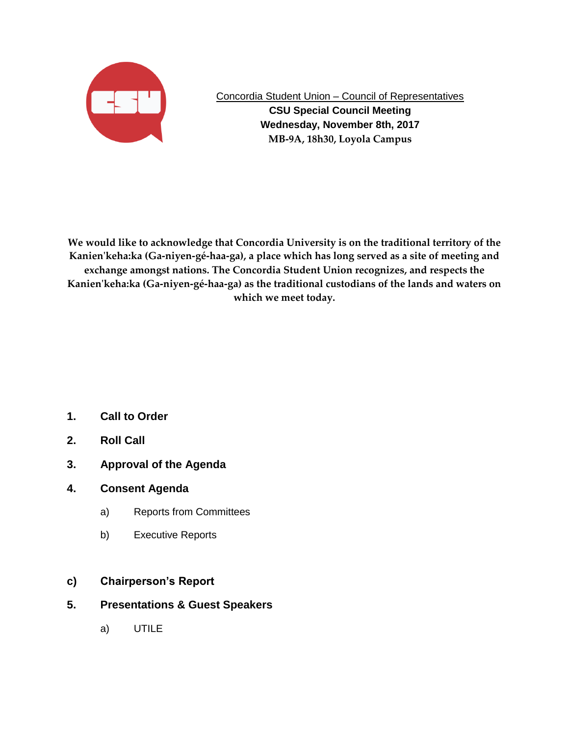

Concordia Student Union – Council of Representatives

**CSU Special Council Meeting Wednesday, November 8th, 2017 MB-9A, 18h30, Loyola Campus**

**We would like to acknowledge that Concordia University is on the traditional territory of the Kanien'keha:ka (Ga-niyen-gé-haa-ga), a place which has long served as a site of meeting and exchange amongst nations. The Concordia Student Union recognizes, and respects the Kanien'keha:ka (Ga-niyen-gé-haa-ga) as the traditional custodians of the lands and waters on which we meet today.**

- **1. Call to Order**
- **2. Roll Call**
- **3. Approval of the Agenda**
- **4. Consent Agenda**
	- a) Reports from Committees
	- b) Executive Reports
- **c) Chairperson's Report**
- **5. Presentations & Guest Speakers**
	- a) UTILE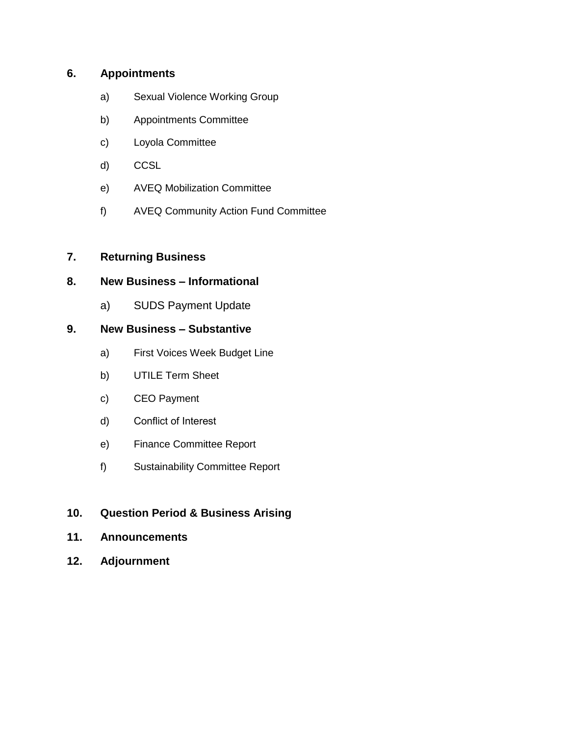# **6. Appointments**

- a) Sexual Violence Working Group
- b) Appointments Committee
- c) Loyola Committee
- d) CCSL
- e) AVEQ Mobilization Committee
- f) AVEQ Community Action Fund Committee

# **7. Returning Business**

# **8. New Business – Informational**

a) SUDS Payment Update

# **9. New Business – Substantive**

- a) First Voices Week Budget Line
- b) UTILE Term Sheet
- c) CEO Payment
- d) Conflict of Interest
- e) Finance Committee Report
- f) Sustainability Committee Report

# **10. Question Period & Business Arising**

- **11. Announcements**
- **12. Adjournment**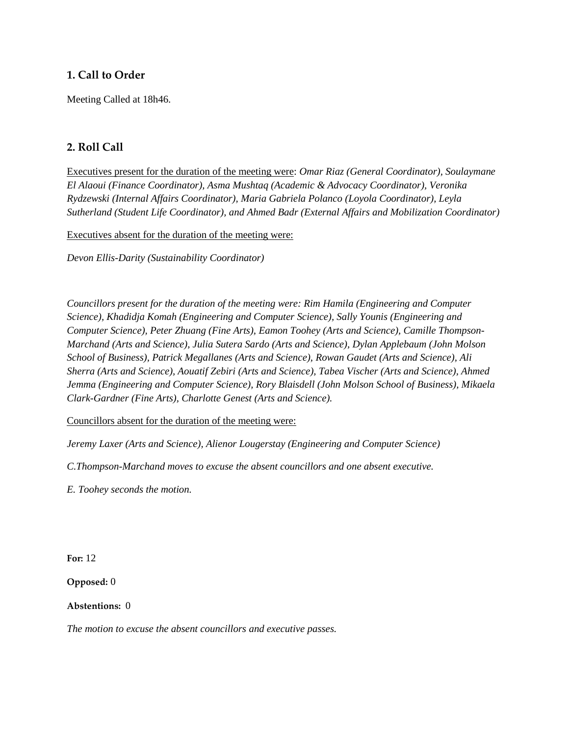# **1. Call to Order**

Meeting Called at 18h46.

# **2. Roll Call**

Executives present for the duration of the meeting were: *Omar Riaz (General Coordinator), Soulaymane El Alaoui (Finance Coordinator), Asma Mushtaq (Academic & Advocacy Coordinator), Veronika Rydzewski (Internal Affairs Coordinator), Maria Gabriela Polanco (Loyola Coordinator), Leyla Sutherland (Student Life Coordinator), and Ahmed Badr (External Affairs and Mobilization Coordinator)*

Executives absent for the duration of the meeting were:

*Devon Ellis-Darity (Sustainability Coordinator)*

*Councillors present for the duration of the meeting were: Rim Hamila (Engineering and Computer Science), Khadidja Komah (Engineering and Computer Science), Sally Younis (Engineering and Computer Science), Peter Zhuang (Fine Arts), Eamon Toohey (Arts and Science), Camille Thompson-Marchand (Arts and Science), Julia Sutera Sardo (Arts and Science), Dylan Applebaum (John Molson School of Business), Patrick Megallanes (Arts and Science), Rowan Gaudet (Arts and Science), Ali Sherra (Arts and Science), Aouatif Zebiri (Arts and Science), Tabea Vischer (Arts and Science), Ahmed Jemma (Engineering and Computer Science), Rory Blaisdell (John Molson School of Business), Mikaela Clark-Gardner (Fine Arts), Charlotte Genest (Arts and Science).*

Councillors absent for the duration of the meeting were:

*Jeremy Laxer (Arts and Science), Alienor Lougerstay (Engineering and Computer Science)*

*C.Thompson-Marchand moves to excuse the absent councillors and one absent executive.*

*E. Toohey seconds the motion.*

**For:** 12

**Opposed:** 0

**Abstentions:** 0

*The motion to excuse the absent councillors and executive passes.*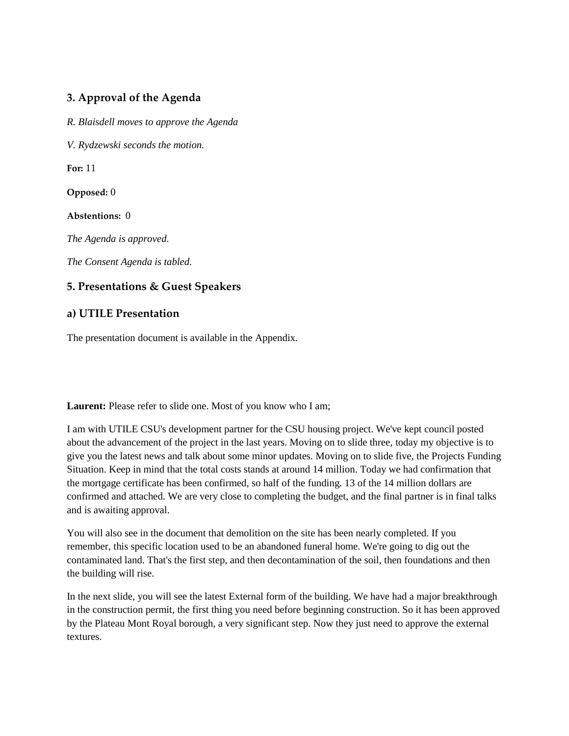# **3. Approval of the Agenda**

*R. Blaisdell moves to approve the Agenda*

*V. Rydzewski seconds the motion.*

**For:** 11

**Opposed:** 0

**Abstentions:** 0

*The Agenda is approved.* 

*The Consent Agenda is tabled.* 

# **5. Presentations & Guest Speakers**

# **a) UTILE Presentation**

The presentation document is available in the Appendix.

Laurent: Please refer to slide one. Most of you know who I am;

I am with UTILE CSU's development partner for the CSU housing project. We've kept council posted about the advancement of the project in the last years. Moving on to slide three, today my objective is to give you the latest news and talk about some minor updates. Moving on to slide five, the Projects Funding Situation. Keep in mind that the total costs stands at around 14 million. Today we had confirmation that the mortgage certificate has been confirmed, so half of the funding. 13 of the 14 million dollars are confirmed and attached. We are very close to completing the budget, and the final partner is in final talks and is awaiting approval.

You will also see in the document that demolition on the site has been nearly completed. If you remember, this specific location used to be an abandoned funeral home. We're going to dig out the contaminated land. That's the first step, and then decontamination of the soil, then foundations and then the building will rise.

In the next slide, you will see the latest External form of the building. We have had a major breakthrough in the construction permit, the first thing you need before beginning construction. So it has been approved by the Plateau Mont Royal borough, a very significant step. Now they just need to approve the external textures.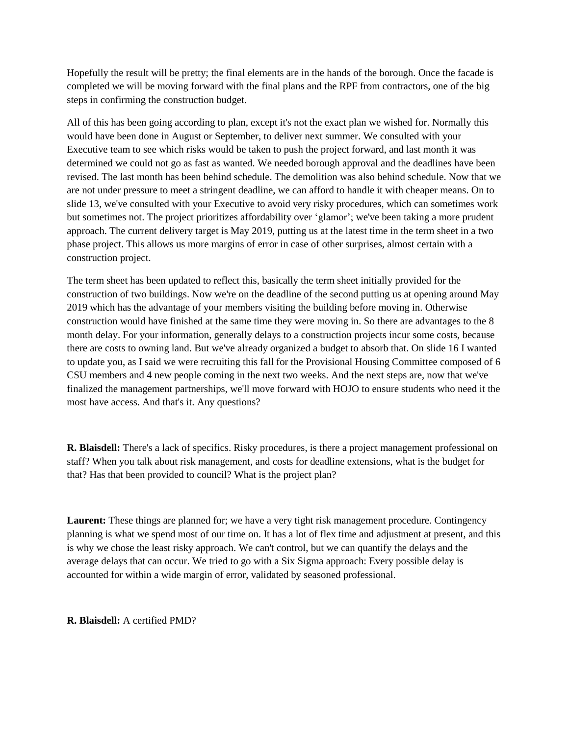Hopefully the result will be pretty; the final elements are in the hands of the borough. Once the facade is completed we will be moving forward with the final plans and the RPF from contractors, one of the big steps in confirming the construction budget.

All of this has been going according to plan, except it's not the exact plan we wished for. Normally this would have been done in August or September, to deliver next summer. We consulted with your Executive team to see which risks would be taken to push the project forward, and last month it was determined we could not go as fast as wanted. We needed borough approval and the deadlines have been revised. The last month has been behind schedule. The demolition was also behind schedule. Now that we are not under pressure to meet a stringent deadline, we can afford to handle it with cheaper means. On to slide 13, we've consulted with your Executive to avoid very risky procedures, which can sometimes work but sometimes not. The project prioritizes affordability over 'glamor'; we've been taking a more prudent approach. The current delivery target is May 2019, putting us at the latest time in the term sheet in a two phase project. This allows us more margins of error in case of other surprises, almost certain with a construction project.

The term sheet has been updated to reflect this, basically the term sheet initially provided for the construction of two buildings. Now we're on the deadline of the second putting us at opening around May 2019 which has the advantage of your members visiting the building before moving in. Otherwise construction would have finished at the same time they were moving in. So there are advantages to the 8 month delay. For your information, generally delays to a construction projects incur some costs, because there are costs to owning land. But we've already organized a budget to absorb that. On slide 16 I wanted to update you, as I said we were recruiting this fall for the Provisional Housing Committee composed of 6 CSU members and 4 new people coming in the next two weeks. And the next steps are, now that we've finalized the management partnerships, we'll move forward with HOJO to ensure students who need it the most have access. And that's it. Any questions?

**R. Blaisdell:** There's a lack of specifics. Risky procedures, is there a project management professional on staff? When you talk about risk management, and costs for deadline extensions, what is the budget for that? Has that been provided to council? What is the project plan?

**Laurent:** These things are planned for; we have a very tight risk management procedure. Contingency planning is what we spend most of our time on. It has a lot of flex time and adjustment at present, and this is why we chose the least risky approach. We can't control, but we can quantify the delays and the average delays that can occur. We tried to go with a Six Sigma approach: Every possible delay is accounted for within a wide margin of error, validated by seasoned professional.

**R. Blaisdell:** A certified PMD?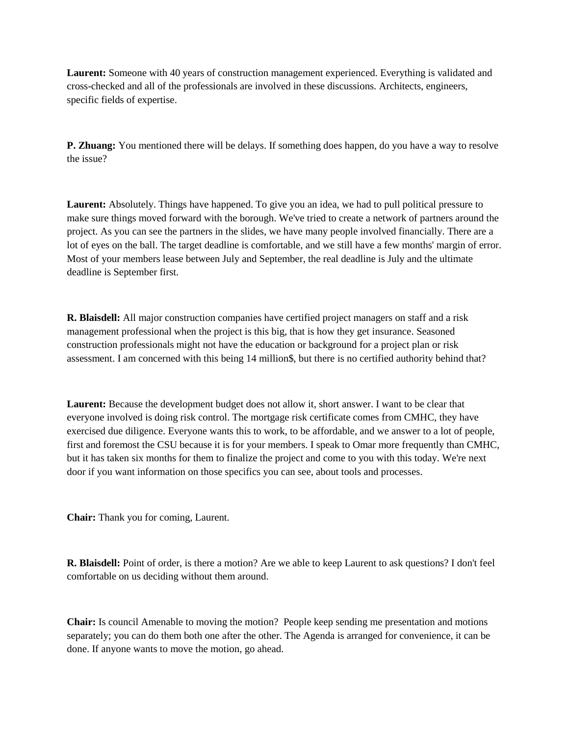**Laurent:** Someone with 40 years of construction management experienced. Everything is validated and cross-checked and all of the professionals are involved in these discussions. Architects, engineers, specific fields of expertise.

**P. Zhuang:** You mentioned there will be delays. If something does happen, do you have a way to resolve the issue?

**Laurent:** Absolutely. Things have happened. To give you an idea, we had to pull political pressure to make sure things moved forward with the borough. We've tried to create a network of partners around the project. As you can see the partners in the slides, we have many people involved financially. There are a lot of eyes on the ball. The target deadline is comfortable, and we still have a few months' margin of error. Most of your members lease between July and September, the real deadline is July and the ultimate deadline is September first.

**R. Blaisdell:** All major construction companies have certified project managers on staff and a risk management professional when the project is this big, that is how they get insurance. Seasoned construction professionals might not have the education or background for a project plan or risk assessment. I am concerned with this being 14 million\$, but there is no certified authority behind that?

**Laurent:** Because the development budget does not allow it, short answer. I want to be clear that everyone involved is doing risk control. The mortgage risk certificate comes from CMHC, they have exercised due diligence. Everyone wants this to work, to be affordable, and we answer to a lot of people, first and foremost the CSU because it is for your members. I speak to Omar more frequently than CMHC, but it has taken six months for them to finalize the project and come to you with this today. We're next door if you want information on those specifics you can see, about tools and processes.

**Chair:** Thank you for coming, Laurent.

**R. Blaisdell:** Point of order, is there a motion? Are we able to keep Laurent to ask questions? I don't feel comfortable on us deciding without them around.

**Chair:** Is council Amenable to moving the motion? People keep sending me presentation and motions separately; you can do them both one after the other. The Agenda is arranged for convenience, it can be done. If anyone wants to move the motion, go ahead.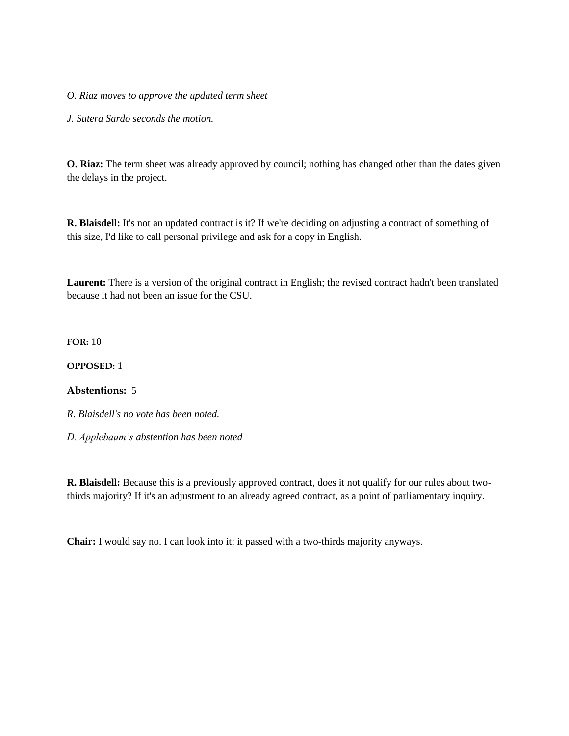*O. Riaz moves to approve the updated term sheet*

*J. Sutera Sardo seconds the motion.*

**O. Riaz:** The term sheet was already approved by council; nothing has changed other than the dates given the delays in the project.

**R. Blaisdell:** It's not an updated contract is it? If we're deciding on adjusting a contract of something of this size, I'd like to call personal privilege and ask for a copy in English.

**Laurent:** There is a version of the original contract in English; the revised contract hadn't been translated because it had not been an issue for the CSU.

**FOR:** 10

**OPPOSED:** 1

#### **Abstentions:** 5

*R. Blaisdell's no vote has been noted.* 

*D. Applebaum's abstention has been noted*

**R. Blaisdell:** Because this is a previously approved contract, does it not qualify for our rules about twothirds majority? If it's an adjustment to an already agreed contract, as a point of parliamentary inquiry.

**Chair:** I would say no. I can look into it; it passed with a two-thirds majority anyways.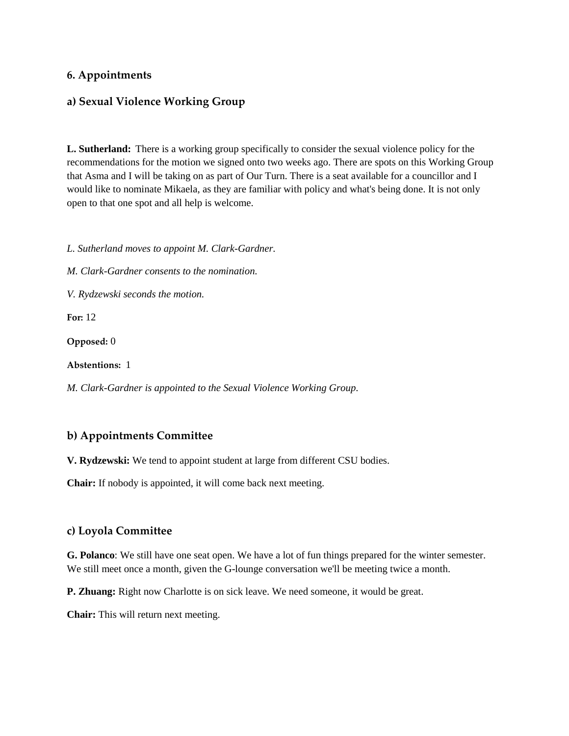## **6. Appointments**

#### **a) Sexual Violence Working Group**

**L. Sutherland:** There is a working group specifically to consider the sexual violence policy for the recommendations for the motion we signed onto two weeks ago. There are spots on this Working Group that Asma and I will be taking on as part of Our Turn. There is a seat available for a councillor and I would like to nominate Mikaela, as they are familiar with policy and what's being done. It is not only open to that one spot and all help is welcome.

*L. Sutherland moves to appoint M. Clark-Gardner.*

*M. Clark-Gardner consents to the nomination.* 

*V. Rydzewski seconds the motion.*

**For:** 12

**Opposed:** 0

**Abstentions:** 1

*M. Clark-Gardner is appointed to the Sexual Violence Working Group.* 

#### **b) Appointments Committee**

**V. Rydzewski:** We tend to appoint student at large from different CSU bodies.

**Chair:** If nobody is appointed, it will come back next meeting.

#### **c) Loyola Committee**

**G. Polanco**: We still have one seat open. We have a lot of fun things prepared for the winter semester. We still meet once a month, given the G-lounge conversation we'll be meeting twice a month.

**P. Zhuang:** Right now Charlotte is on sick leave. We need someone, it would be great.

**Chair:** This will return next meeting.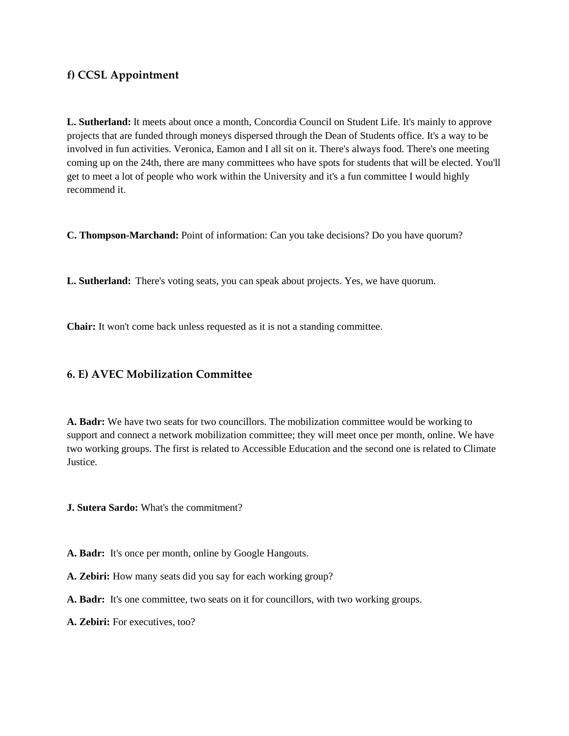# **f) CCSL Appointment**

**L. Sutherland:** It meets about once a month, Concordia Council on Student Life. It's mainly to approve projects that are funded through moneys dispersed through the Dean of Students office. It's a way to be involved in fun activities. Veronica, Eamon and I all sit on it. There's always food. There's one meeting coming up on the 24th, there are many committees who have spots for students that will be elected. You'll get to meet a lot of people who work within the University and it's a fun committee I would highly recommend it.

**C. Thompson-Marchand:** Point of information: Can you take decisions? Do you have quorum?

**L. Sutherland:** There's voting seats, you can speak about projects. Yes, we have quorum.

**Chair:** It won't come back unless requested as it is not a standing committee.

# **6. E) AVEC Mobilization Committee**

**A. Badr:** We have two seats for two councillors. The mobilization committee would be working to support and connect a network mobilization committee; they will meet once per month, online. We have two working groups. The first is related to Accessible Education and the second one is related to Climate Justice.

**J. Sutera Sardo:** What's the commitment?

- **A. Badr:** It's once per month, online by Google Hangouts.
- **A. Zebiri:** How many seats did you say for each working group?
- **A. Badr:** It's one committee, two seats on it for councillors, with two working groups.
- **A. Zebiri:** For executives, too?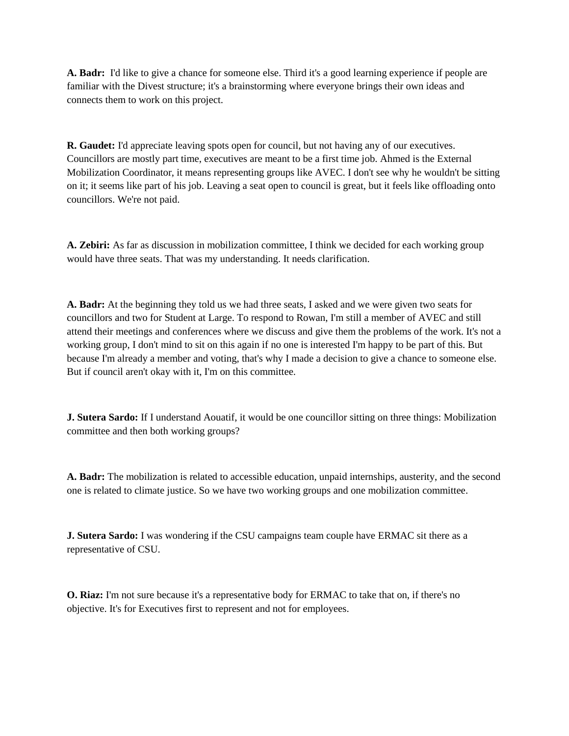**A. Badr:** I'd like to give a chance for someone else. Third it's a good learning experience if people are familiar with the Divest structure; it's a brainstorming where everyone brings their own ideas and connects them to work on this project.

**R. Gaudet:** I'd appreciate leaving spots open for council, but not having any of our executives. Councillors are mostly part time, executives are meant to be a first time job. Ahmed is the External Mobilization Coordinator, it means representing groups like AVEC. I don't see why he wouldn't be sitting on it; it seems like part of his job. Leaving a seat open to council is great, but it feels like offloading onto councillors. We're not paid.

**A. Zebiri:** As far as discussion in mobilization committee, I think we decided for each working group would have three seats. That was my understanding. It needs clarification.

**A. Badr:** At the beginning they told us we had three seats, I asked and we were given two seats for councillors and two for Student at Large. To respond to Rowan, I'm still a member of AVEC and still attend their meetings and conferences where we discuss and give them the problems of the work. It's not a working group, I don't mind to sit on this again if no one is interested I'm happy to be part of this. But because I'm already a member and voting, that's why I made a decision to give a chance to someone else. But if council aren't okay with it, I'm on this committee.

**J. Sutera Sardo:** If I understand Aouatif, it would be one councillor sitting on three things: Mobilization committee and then both working groups?

**A. Badr:** The mobilization is related to accessible education, unpaid internships, austerity, and the second one is related to climate justice. So we have two working groups and one mobilization committee.

**J. Sutera Sardo:** I was wondering if the CSU campaigns team couple have ERMAC sit there as a representative of CSU.

**O. Riaz:** I'm not sure because it's a representative body for ERMAC to take that on, if there's no objective. It's for Executives first to represent and not for employees.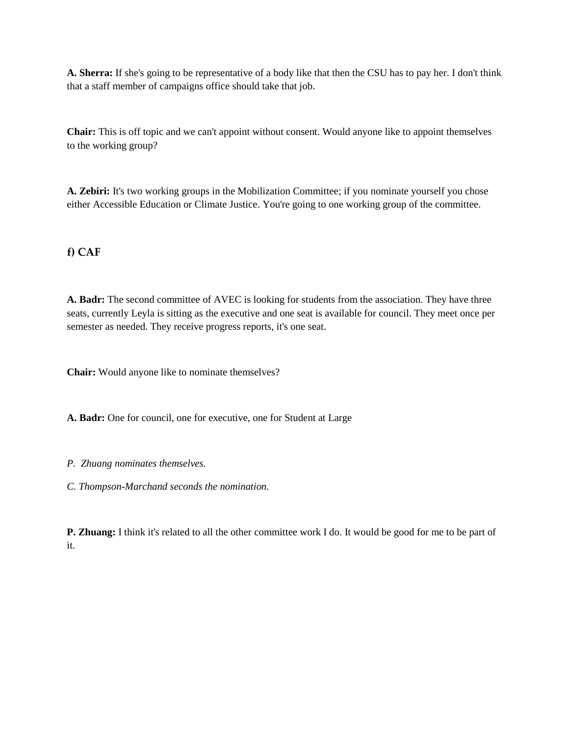**A. Sherra:** If she's going to be representative of a body like that then the CSU has to pay her. I don't think that a staff member of campaigns office should take that job.

**Chair:** This is off topic and we can't appoint without consent. Would anyone like to appoint themselves to the working group?

**A. Zebiri:** It's two working groups in the Mobilization Committee; if you nominate yourself you chose either Accessible Education or Climate Justice. You're going to one working group of the committee.

# **f) CAF**

**A. Badr:** The second committee of AVEC is looking for students from the association. They have three seats, currently Leyla is sitting as the executive and one seat is available for council. They meet once per semester as needed. They receive progress reports, it's one seat.

**Chair:** Would anyone like to nominate themselves?

**A. Badr:** One for council, one for executive, one for Student at Large

- *P. Zhuang nominates themselves.*
- *C. Thompson-Marchand seconds the nomination.*

**P. Zhuang:** I think it's related to all the other committee work I do. It would be good for me to be part of it.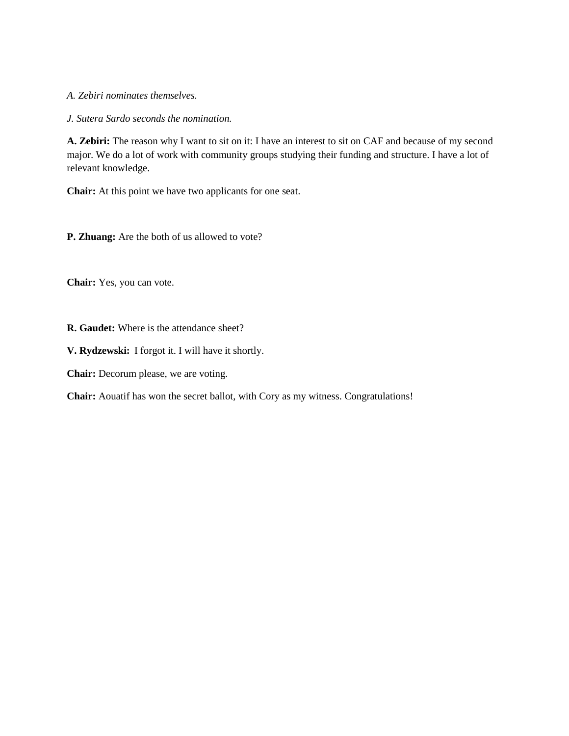*A. Zebiri nominates themselves.*

*J. Sutera Sardo seconds the nomination.*

**A. Zebiri:** The reason why I want to sit on it: I have an interest to sit on CAF and because of my second major. We do a lot of work with community groups studying their funding and structure. I have a lot of relevant knowledge.

**Chair:** At this point we have two applicants for one seat.

**P. Zhuang:** Are the both of us allowed to vote?

**Chair:** Yes, you can vote.

**R. Gaudet:** Where is the attendance sheet?

**V. Rydzewski:** I forgot it. I will have it shortly.

**Chair:** Decorum please, we are voting.

**Chair:** Aouatif has won the secret ballot, with Cory as my witness. Congratulations!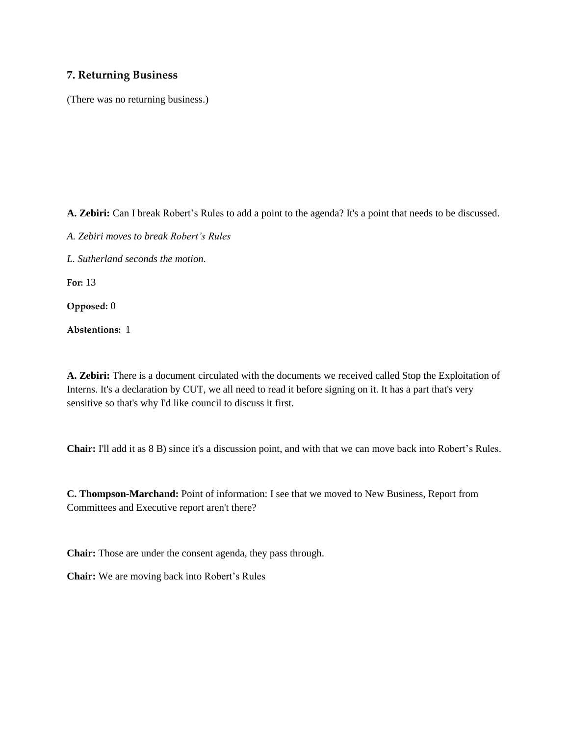#### **7. Returning Business**

(There was no returning business.)

**A. Zebiri:** Can I break Robert's Rules to add a point to the agenda? It's a point that needs to be discussed.

- *A. Zebiri moves to break Robert's Rules*
- *L. Sutherland seconds the motion.*

**For:** 13

**Opposed:** 0

**Abstentions:** 1

**A. Zebiri:** There is a document circulated with the documents we received called Stop the Exploitation of Interns. It's a declaration by CUT, we all need to read it before signing on it. It has a part that's very sensitive so that's why I'd like council to discuss it first.

**Chair:** I'll add it as 8 B) since it's a discussion point, and with that we can move back into Robert's Rules.

**C. Thompson-Marchand:** Point of information: I see that we moved to New Business, Report from Committees and Executive report aren't there?

**Chair:** Those are under the consent agenda, they pass through.

**Chair:** We are moving back into Robert's Rules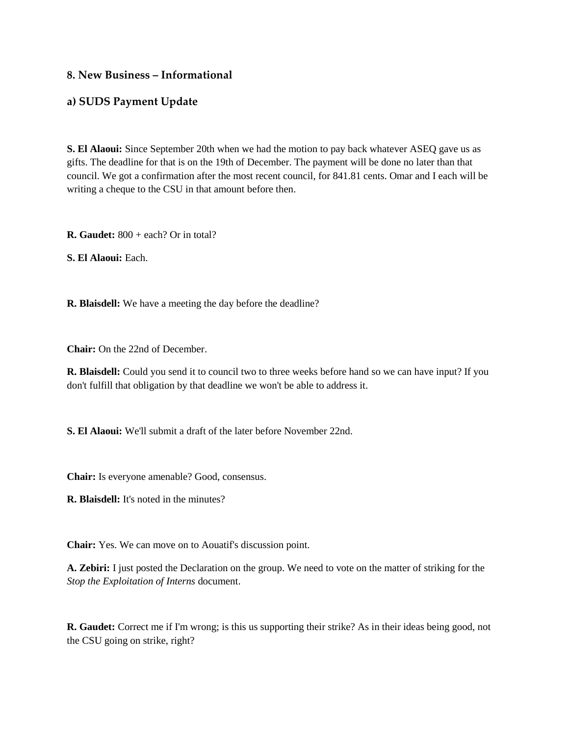## **8. New Business – Informational**

#### **a) SUDS Payment Update**

**S. El Alaoui:** Since September 20th when we had the motion to pay back whatever ASEQ gave us as gifts. The deadline for that is on the 19th of December. The payment will be done no later than that council. We got a confirmation after the most recent council, for 841.81 cents. Omar and I each will be writing a cheque to the CSU in that amount before then.

**R. Gaudet:** 800 + each? Or in total?

**S. El Alaoui:** Each.

**R. Blaisdell:** We have a meeting the day before the deadline?

**Chair:** On the 22nd of December.

**R. Blaisdell:** Could you send it to council two to three weeks before hand so we can have input? If you don't fulfill that obligation by that deadline we won't be able to address it.

**S. El Alaoui:** We'll submit a draft of the later before November 22nd.

**Chair:** Is everyone amenable? Good, consensus.

**R. Blaisdell:** It's noted in the minutes?

**Chair:** Yes. We can move on to Aouatif's discussion point.

**A. Zebiri:** I just posted the Declaration on the group. We need to vote on the matter of striking for the *Stop the Exploitation of Interns* document.

**R. Gaudet:** Correct me if I'm wrong; is this us supporting their strike? As in their ideas being good, not the CSU going on strike, right?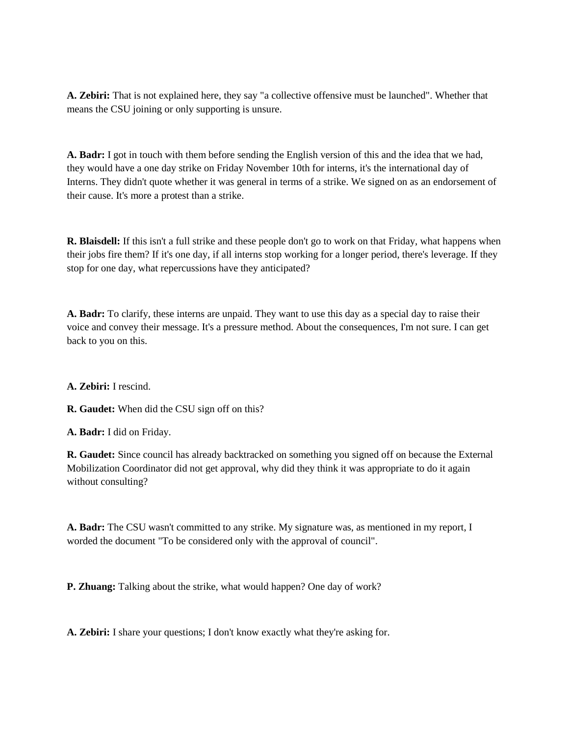**A. Zebiri:** That is not explained here, they say "a collective offensive must be launched". Whether that means the CSU joining or only supporting is unsure.

**A. Badr:** I got in touch with them before sending the English version of this and the idea that we had, they would have a one day strike on Friday November 10th for interns, it's the international day of Interns. They didn't quote whether it was general in terms of a strike. We signed on as an endorsement of their cause. It's more a protest than a strike.

**R. Blaisdell:** If this isn't a full strike and these people don't go to work on that Friday, what happens when their jobs fire them? If it's one day, if all interns stop working for a longer period, there's leverage. If they stop for one day, what repercussions have they anticipated?

**A. Badr:** To clarify, these interns are unpaid. They want to use this day as a special day to raise their voice and convey their message. It's a pressure method. About the consequences, I'm not sure. I can get back to you on this.

**A. Zebiri:** I rescind.

**R. Gaudet:** When did the CSU sign off on this?

**A. Badr:** I did on Friday.

**R. Gaudet:** Since council has already backtracked on something you signed off on because the External Mobilization Coordinator did not get approval, why did they think it was appropriate to do it again without consulting?

**A. Badr:** The CSU wasn't committed to any strike. My signature was, as mentioned in my report, I worded the document "To be considered only with the approval of council".

**P. Zhuang:** Talking about the strike, what would happen? One day of work?

**A. Zebiri:** I share your questions; I don't know exactly what they're asking for.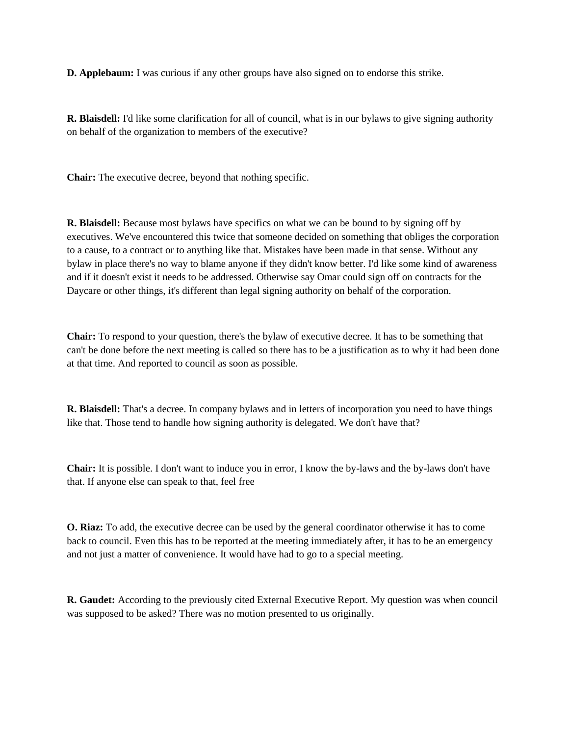**D. Applebaum:** I was curious if any other groups have also signed on to endorse this strike.

**R. Blaisdell:** I'd like some clarification for all of council, what is in our bylaws to give signing authority on behalf of the organization to members of the executive?

**Chair:** The executive decree, beyond that nothing specific.

**R. Blaisdell:** Because most bylaws have specifics on what we can be bound to by signing off by executives. We've encountered this twice that someone decided on something that obliges the corporation to a cause, to a contract or to anything like that. Mistakes have been made in that sense. Without any bylaw in place there's no way to blame anyone if they didn't know better. I'd like some kind of awareness and if it doesn't exist it needs to be addressed. Otherwise say Omar could sign off on contracts for the Daycare or other things, it's different than legal signing authority on behalf of the corporation.

**Chair:** To respond to your question, there's the bylaw of executive decree. It has to be something that can't be done before the next meeting is called so there has to be a justification as to why it had been done at that time. And reported to council as soon as possible.

**R. Blaisdell:** That's a decree. In company bylaws and in letters of incorporation you need to have things like that. Those tend to handle how signing authority is delegated. We don't have that?

**Chair:** It is possible. I don't want to induce you in error, I know the by-laws and the by-laws don't have that. If anyone else can speak to that, feel free

**O. Riaz:** To add, the executive decree can be used by the general coordinator otherwise it has to come back to council. Even this has to be reported at the meeting immediately after, it has to be an emergency and not just a matter of convenience. It would have had to go to a special meeting.

**R. Gaudet:** According to the previously cited External Executive Report. My question was when council was supposed to be asked? There was no motion presented to us originally.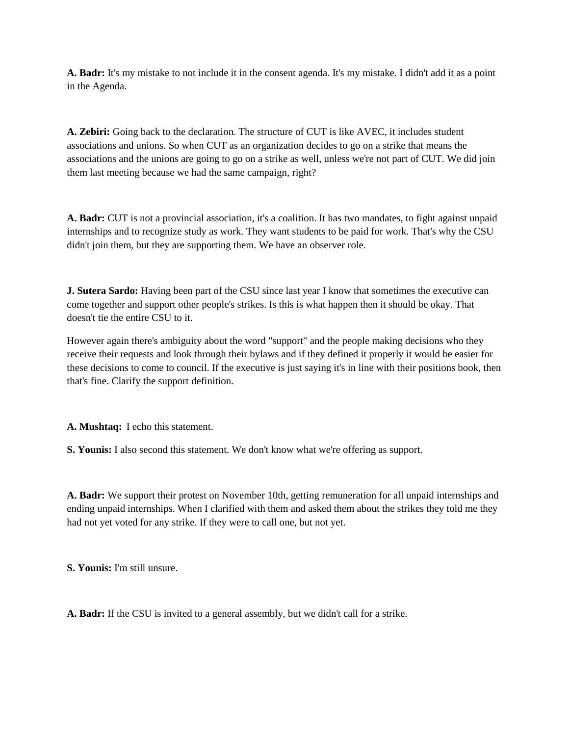**A. Badr:** It's my mistake to not include it in the consent agenda. It's my mistake. I didn't add it as a point in the Agenda.

**A. Zebiri:** Going back to the declaration. The structure of CUT is like AVEC, it includes student associations and unions. So when CUT as an organization decides to go on a strike that means the associations and the unions are going to go on a strike as well, unless we're not part of CUT. We did join them last meeting because we had the same campaign, right?

**A. Badr:** CUT is not a provincial association, it's a coalition. It has two mandates, to fight against unpaid internships and to recognize study as work. They want students to be paid for work. That's why the CSU didn't join them, but they are supporting them. We have an observer role.

**J. Sutera Sardo:** Having been part of the CSU since last year I know that sometimes the executive can come together and support other people's strikes. Is this is what happen then it should be okay. That doesn't tie the entire CSU to it.

However again there's ambiguity about the word "support" and the people making decisions who they receive their requests and look through their bylaws and if they defined it properly it would be easier for these decisions to come to council. If the executive is just saying it's in line with their positions book, then that's fine. Clarify the support definition.

**A. Mushtaq:** I echo this statement.

**S. Younis:** I also second this statement. We don't know what we're offering as support.

**A. Badr:** We support their protest on November 10th, getting remuneration for all unpaid internships and ending unpaid internships. When I clarified with them and asked them about the strikes they told me they had not yet voted for any strike. If they were to call one, but not yet.

**S. Younis:** I'm still unsure.

**A. Badr:** If the CSU is invited to a general assembly, but we didn't call for a strike.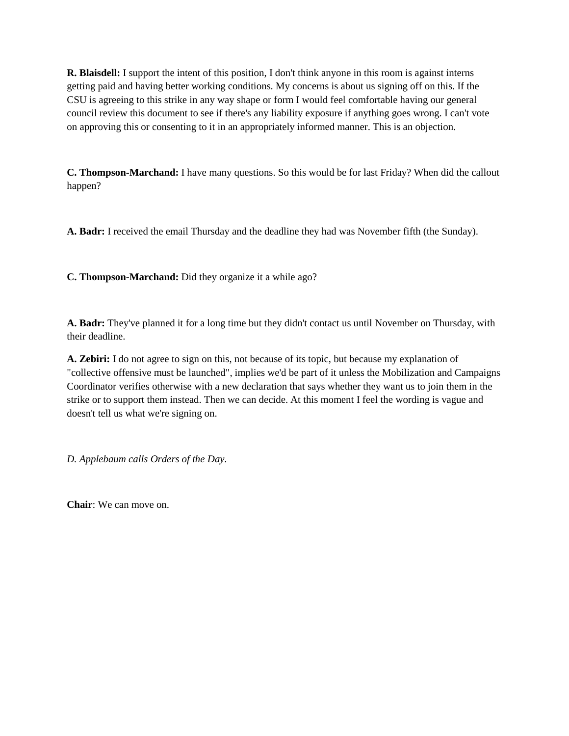**R. Blaisdell:** I support the intent of this position, I don't think anyone in this room is against interns getting paid and having better working conditions. My concerns is about us signing off on this. If the CSU is agreeing to this strike in any way shape or form I would feel comfortable having our general council review this document to see if there's any liability exposure if anything goes wrong. I can't vote on approving this or consenting to it in an appropriately informed manner. This is an objection.

**C. Thompson-Marchand:** I have many questions. So this would be for last Friday? When did the callout happen?

**A. Badr:** I received the email Thursday and the deadline they had was November fifth (the Sunday).

**C. Thompson-Marchand:** Did they organize it a while ago?

**A. Badr:** They've planned it for a long time but they didn't contact us until November on Thursday, with their deadline.

**A. Zebiri:** I do not agree to sign on this, not because of its topic, but because my explanation of "collective offensive must be launched", implies we'd be part of it unless the Mobilization and Campaigns Coordinator verifies otherwise with a new declaration that says whether they want us to join them in the strike or to support them instead. Then we can decide. At this moment I feel the wording is vague and doesn't tell us what we're signing on.

*D. Applebaum calls Orders of the Day.*

**Chair**: We can move on.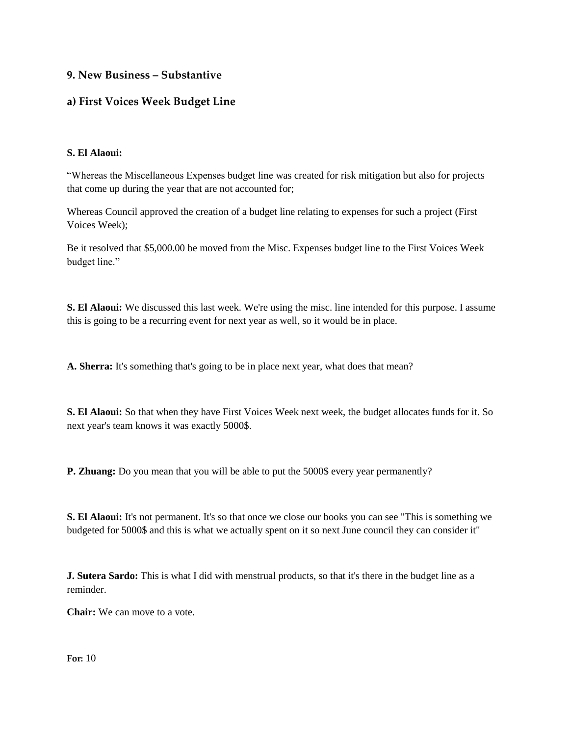# **9. New Business – Substantive**

# **a) First Voices Week Budget Line**

#### **S. El Alaoui:**

"Whereas the Miscellaneous Expenses budget line was created for risk mitigation but also for projects that come up during the year that are not accounted for;

Whereas Council approved the creation of a budget line relating to expenses for such a project (First Voices Week);

Be it resolved that \$5,000.00 be moved from the Misc. Expenses budget line to the First Voices Week budget line."

**S. El Alaoui:** We discussed this last week. We're using the misc. line intended for this purpose. I assume this is going to be a recurring event for next year as well, so it would be in place.

**A. Sherra:** It's something that's going to be in place next year, what does that mean?

**S. El Alaoui:** So that when they have First Voices Week next week, the budget allocates funds for it. So next year's team knows it was exactly 5000\$.

**P. Zhuang:** Do you mean that you will be able to put the 5000\$ every year permanently?

**S. El Alaoui:** It's not permanent. It's so that once we close our books you can see "This is something we budgeted for 5000\$ and this is what we actually spent on it so next June council they can consider it"

**J. Sutera Sardo:** This is what I did with menstrual products, so that it's there in the budget line as a reminder.

**Chair:** We can move to a vote.

**For:** 10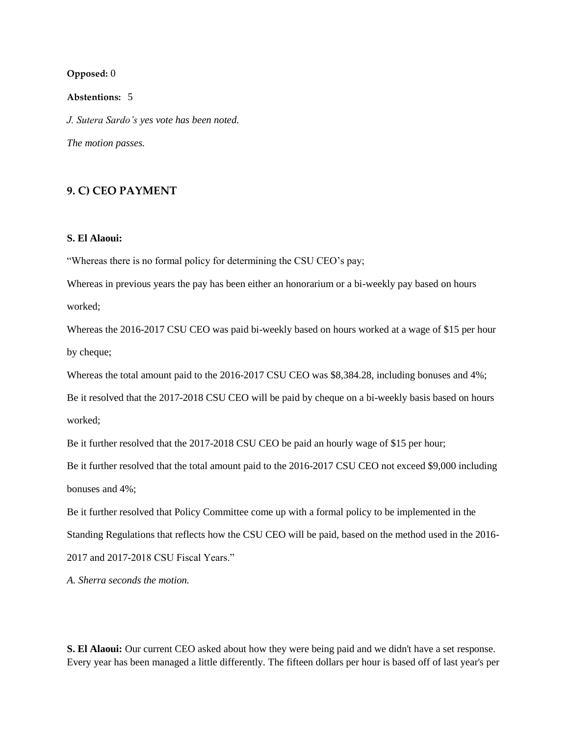#### **Opposed:** 0

**Abstentions:** 5

*J. Sutera Sardo's yes vote has been noted. The motion passes.* 

# **9. C) CEO PAYMENT**

#### **S. El Alaoui:**

"Whereas there is no formal policy for determining the CSU CEO's pay;

Whereas in previous years the pay has been either an honorarium or a bi-weekly pay based on hours worked;

Whereas the 2016-2017 CSU CEO was paid bi-weekly based on hours worked at a wage of \$15 per hour by cheque;

Whereas the total amount paid to the 2016-2017 CSU CEO was \$8,384.28, including bonuses and 4%;

Be it resolved that the 2017-2018 CSU CEO will be paid by cheque on a bi-weekly basis based on hours worked;

Be it further resolved that the 2017-2018 CSU CEO be paid an hourly wage of \$15 per hour;

Be it further resolved that the total amount paid to the 2016-2017 CSU CEO not exceed \$9,000 including bonuses and 4%;

Be it further resolved that Policy Committee come up with a formal policy to be implemented in the Standing Regulations that reflects how the CSU CEO will be paid, based on the method used in the 2016- 2017 and 2017-2018 CSU Fiscal Years."

*A. Sherra seconds the motion.*

**S. El Alaoui:** Our current CEO asked about how they were being paid and we didn't have a set response. Every year has been managed a little differently. The fifteen dollars per hour is based off of last year's per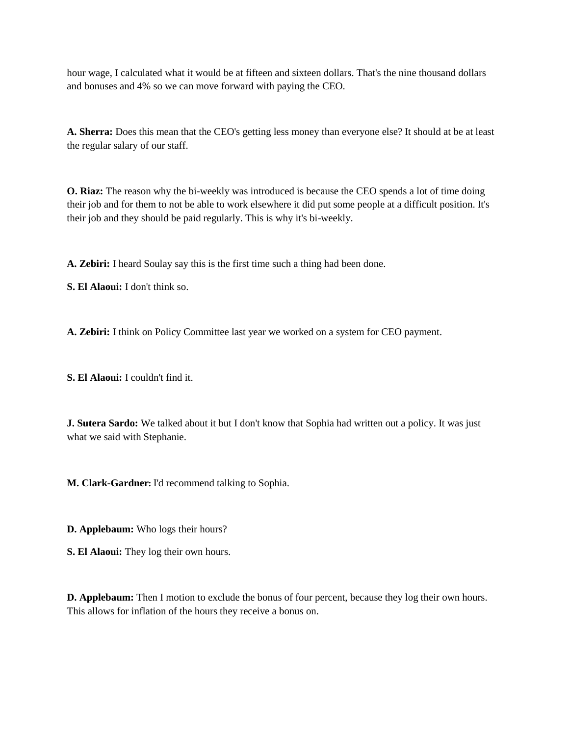hour wage, I calculated what it would be at fifteen and sixteen dollars. That's the nine thousand dollars and bonuses and 4% so we can move forward with paying the CEO.

**A. Sherra:** Does this mean that the CEO's getting less money than everyone else? It should at be at least the regular salary of our staff.

**O. Riaz:** The reason why the bi-weekly was introduced is because the CEO spends a lot of time doing their job and for them to not be able to work elsewhere it did put some people at a difficult position. It's their job and they should be paid regularly. This is why it's bi-weekly.

**A. Zebiri:** I heard Soulay say this is the first time such a thing had been done.

**S. El Alaoui:** I don't think so.

**A. Zebiri:** I think on Policy Committee last year we worked on a system for CEO payment.

**S. El Alaoui:** I couldn't find it.

**J. Sutera Sardo:** We talked about it but I don't know that Sophia had written out a policy. It was just what we said with Stephanie.

**M. Clark-Gardner:** I'd recommend talking to Sophia.

**D. Applebaum:** Who logs their hours?

**S. El Alaoui:** They log their own hours.

**D. Applebaum:** Then I motion to exclude the bonus of four percent, because they log their own hours. This allows for inflation of the hours they receive a bonus on.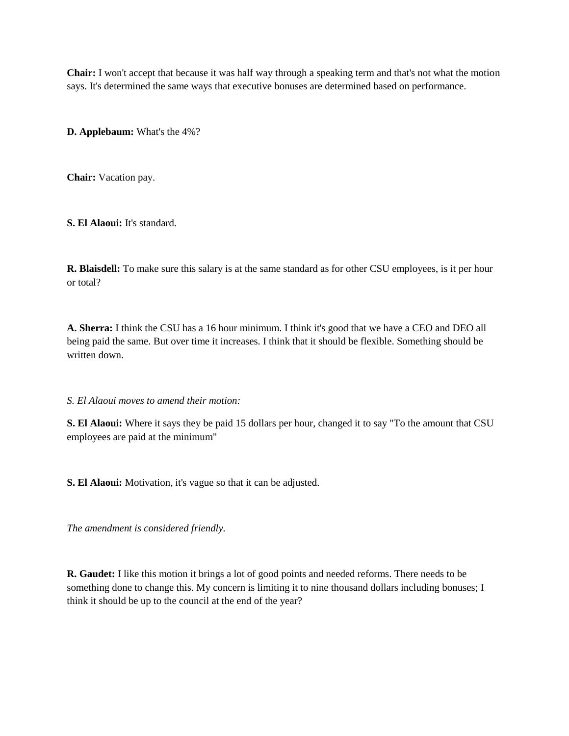**Chair:** I won't accept that because it was half way through a speaking term and that's not what the motion says. It's determined the same ways that executive bonuses are determined based on performance.

**D. Applebaum:** What's the 4%?

**Chair:** Vacation pay.

**S. El Alaoui:** It's standard.

**R. Blaisdell:** To make sure this salary is at the same standard as for other CSU employees, is it per hour or total?

**A. Sherra:** I think the CSU has a 16 hour minimum. I think it's good that we have a CEO and DEO all being paid the same. But over time it increases. I think that it should be flexible. Something should be written down.

*S. El Alaoui moves to amend their motion:*

**S. El Alaoui:** Where it says they be paid 15 dollars per hour, changed it to say "To the amount that CSU employees are paid at the minimum"

**S. El Alaoui:** Motivation, it's vague so that it can be adjusted.

*The amendment is considered friendly.* 

**R. Gaudet:** I like this motion it brings a lot of good points and needed reforms. There needs to be something done to change this. My concern is limiting it to nine thousand dollars including bonuses; I think it should be up to the council at the end of the year?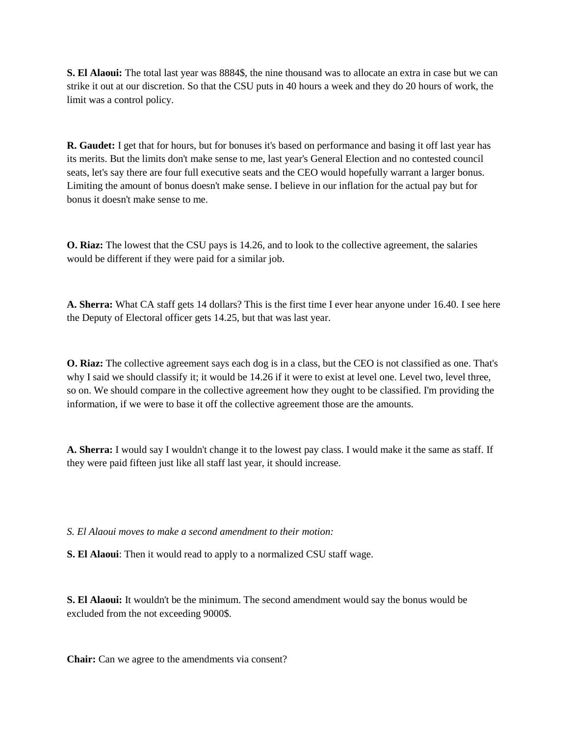**S. El Alaoui:** The total last year was 8884\$, the nine thousand was to allocate an extra in case but we can strike it out at our discretion. So that the CSU puts in 40 hours a week and they do 20 hours of work, the limit was a control policy.

**R. Gaudet:** I get that for hours, but for bonuses it's based on performance and basing it off last year has its merits. But the limits don't make sense to me, last year's General Election and no contested council seats, let's say there are four full executive seats and the CEO would hopefully warrant a larger bonus. Limiting the amount of bonus doesn't make sense. I believe in our inflation for the actual pay but for bonus it doesn't make sense to me.

**O. Riaz:** The lowest that the CSU pays is 14.26, and to look to the collective agreement, the salaries would be different if they were paid for a similar job.

**A. Sherra:** What CA staff gets 14 dollars? This is the first time I ever hear anyone under 16.40. I see here the Deputy of Electoral officer gets 14.25, but that was last year.

**O. Riaz:** The collective agreement says each dog is in a class, but the CEO is not classified as one. That's why I said we should classify it; it would be 14.26 if it were to exist at level one. Level two, level three, so on. We should compare in the collective agreement how they ought to be classified. I'm providing the information, if we were to base it off the collective agreement those are the amounts.

**A. Sherra:** I would say I wouldn't change it to the lowest pay class. I would make it the same as staff. If they were paid fifteen just like all staff last year, it should increase.

*S. El Alaoui moves to make a second amendment to their motion:* 

**S. El Alaoui**: Then it would read to apply to a normalized CSU staff wage.

**S. El Alaoui:** It wouldn't be the minimum. The second amendment would say the bonus would be excluded from the not exceeding 9000\$.

**Chair:** Can we agree to the amendments via consent?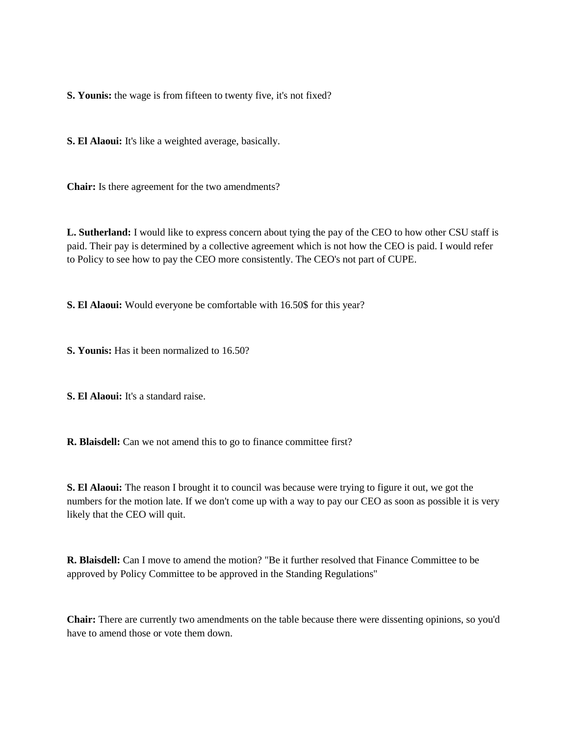**S. Younis:** the wage is from fifteen to twenty five, it's not fixed?

**S. El Alaoui:** It's like a weighted average, basically.

**Chair:** Is there agreement for the two amendments?

**L. Sutherland:** I would like to express concern about tying the pay of the CEO to how other CSU staff is paid. Their pay is determined by a collective agreement which is not how the CEO is paid. I would refer to Policy to see how to pay the CEO more consistently. The CEO's not part of CUPE.

**S. El Alaoui:** Would everyone be comfortable with 16.50\$ for this year?

**S. Younis:** Has it been normalized to 16.50?

**S. El Alaoui:** It's a standard raise.

**R. Blaisdell:** Can we not amend this to go to finance committee first?

**S. El Alaoui:** The reason I brought it to council was because were trying to figure it out, we got the numbers for the motion late. If we don't come up with a way to pay our CEO as soon as possible it is very likely that the CEO will quit.

**R. Blaisdell:** Can I move to amend the motion? "Be it further resolved that Finance Committee to be approved by Policy Committee to be approved in the Standing Regulations"

**Chair:** There are currently two amendments on the table because there were dissenting opinions, so you'd have to amend those or vote them down.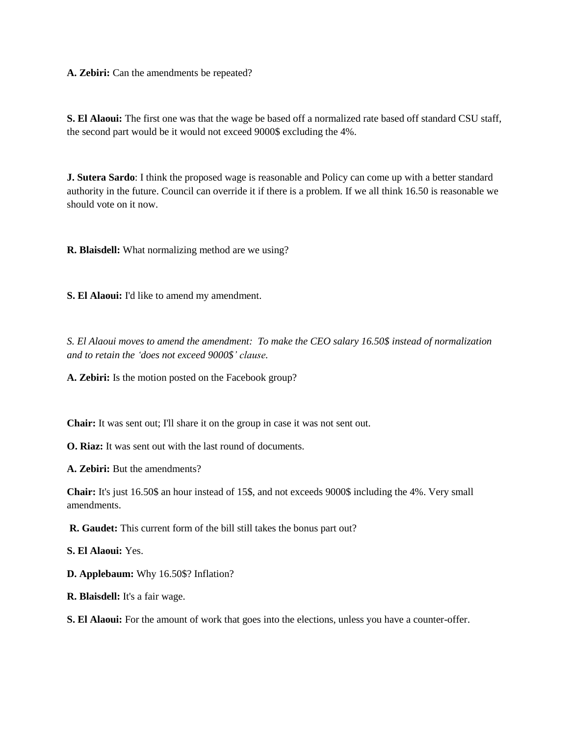**A. Zebiri:** Can the amendments be repeated?

**S. El Alaoui:** The first one was that the wage be based off a normalized rate based off standard CSU staff, the second part would be it would not exceed 9000\$ excluding the 4%.

**J. Sutera Sardo**: I think the proposed wage is reasonable and Policy can come up with a better standard authority in the future. Council can override it if there is a problem. If we all think 16.50 is reasonable we should vote on it now.

**R. Blaisdell:** What normalizing method are we using?

**S. El Alaoui:** I'd like to amend my amendment.

*S. El Alaoui moves to amend the amendment: To make the CEO salary 16.50\$ instead of normalization and to retain the 'does not exceed 9000\$' clause.* 

**A. Zebiri:** Is the motion posted on the Facebook group?

**Chair:** It was sent out; I'll share it on the group in case it was not sent out.

**O. Riaz:** It was sent out with the last round of documents.

**A. Zebiri:** But the amendments?

**Chair:** It's just 16.50\$ an hour instead of 15\$, and not exceeds 9000\$ including the 4%. Very small amendments.

**R. Gaudet:** This current form of the bill still takes the bonus part out?

**S. El Alaoui:** Yes.

**D. Applebaum:** Why 16.50\$? Inflation?

**R. Blaisdell:** It's a fair wage.

**S. El Alaoui:** For the amount of work that goes into the elections, unless you have a counter-offer.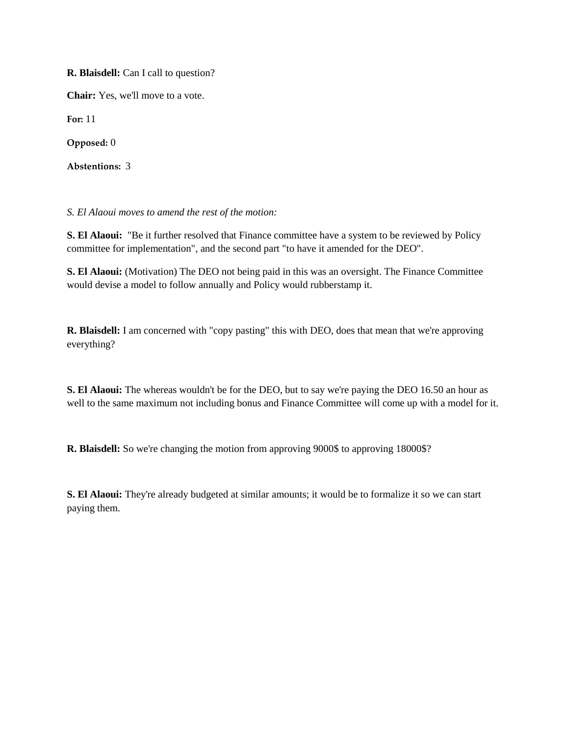**R. Blaisdell:** Can I call to question?

**Chair:** Yes, we'll move to a vote.

**For:** 11

**Opposed:** 0

**Abstentions:** 3

*S. El Alaoui moves to amend the rest of the motion:*

**S. El Alaoui:** "Be it further resolved that Finance committee have a system to be reviewed by Policy committee for implementation", and the second part "to have it amended for the DEO".

**S. El Alaoui:** (Motivation) The DEO not being paid in this was an oversight. The Finance Committee would devise a model to follow annually and Policy would rubberstamp it.

**R. Blaisdell:** I am concerned with "copy pasting" this with DEO, does that mean that we're approving everything?

**S. El Alaoui:** The whereas wouldn't be for the DEO, but to say we're paying the DEO 16.50 an hour as well to the same maximum not including bonus and Finance Committee will come up with a model for it.

**R. Blaisdell:** So we're changing the motion from approving 9000\$ to approving 18000\$?

**S. El Alaoui:** They're already budgeted at similar amounts; it would be to formalize it so we can start paying them.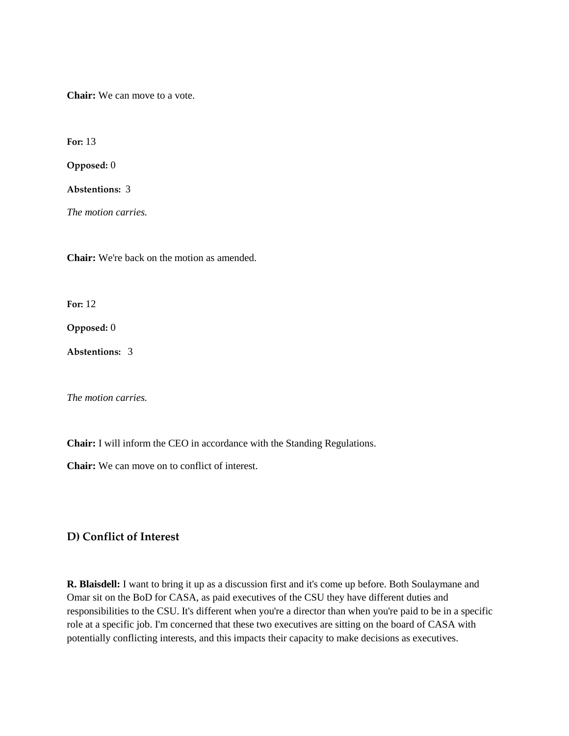**Chair:** We can move to a vote.

**For:** 13

**Opposed:** 0

**Abstentions:** 3

*The motion carries.* 

**Chair:** We're back on the motion as amended.

**For:** 12

**Opposed:** 0

**Abstentions:** 3

*The motion carries.* 

**Chair:** I will inform the CEO in accordance with the Standing Regulations.

**Chair:** We can move on to conflict of interest.

# **D) Conflict of Interest**

**R. Blaisdell:** I want to bring it up as a discussion first and it's come up before. Both Soulaymane and Omar sit on the BoD for CASA, as paid executives of the CSU they have different duties and responsibilities to the CSU. It's different when you're a director than when you're paid to be in a specific role at a specific job. I'm concerned that these two executives are sitting on the board of CASA with potentially conflicting interests, and this impacts their capacity to make decisions as executives.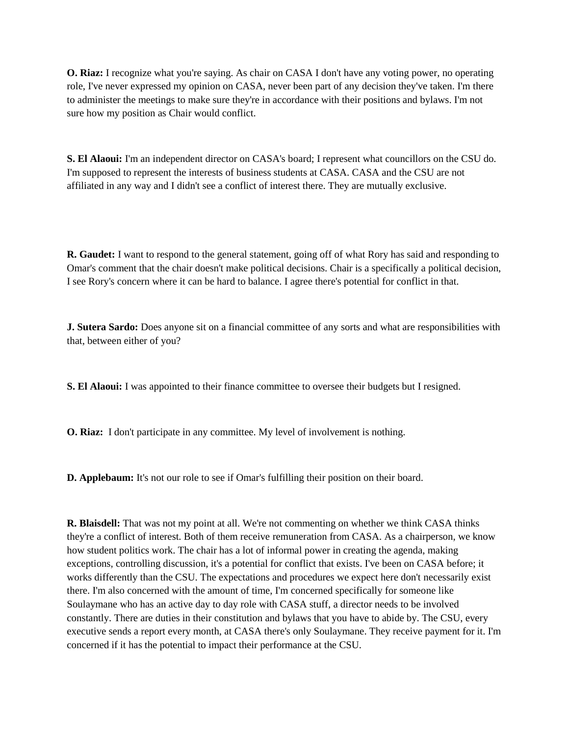**O. Riaz:** I recognize what you're saying. As chair on CASA I don't have any voting power, no operating role, I've never expressed my opinion on CASA, never been part of any decision they've taken. I'm there to administer the meetings to make sure they're in accordance with their positions and bylaws. I'm not sure how my position as Chair would conflict.

**S. El Alaoui:** I'm an independent director on CASA's board; I represent what councillors on the CSU do. I'm supposed to represent the interests of business students at CASA. CASA and the CSU are not affiliated in any way and I didn't see a conflict of interest there. They are mutually exclusive.

**R. Gaudet:** I want to respond to the general statement, going off of what Rory has said and responding to Omar's comment that the chair doesn't make political decisions. Chair is a specifically a political decision, I see Rory's concern where it can be hard to balance. I agree there's potential for conflict in that.

**J. Sutera Sardo:** Does anyone sit on a financial committee of any sorts and what are responsibilities with that, between either of you?

**S. El Alaoui:** I was appointed to their finance committee to oversee their budgets but I resigned.

**O. Riaz:** I don't participate in any committee. My level of involvement is nothing.

**D. Applebaum:** It's not our role to see if Omar's fulfilling their position on their board.

**R. Blaisdell:** That was not my point at all. We're not commenting on whether we think CASA thinks they're a conflict of interest. Both of them receive remuneration from CASA. As a chairperson, we know how student politics work. The chair has a lot of informal power in creating the agenda, making exceptions, controlling discussion, it's a potential for conflict that exists. I've been on CASA before; it works differently than the CSU. The expectations and procedures we expect here don't necessarily exist there. I'm also concerned with the amount of time, I'm concerned specifically for someone like Soulaymane who has an active day to day role with CASA stuff, a director needs to be involved constantly. There are duties in their constitution and bylaws that you have to abide by. The CSU, every executive sends a report every month, at CASA there's only Soulaymane. They receive payment for it. I'm concerned if it has the potential to impact their performance at the CSU.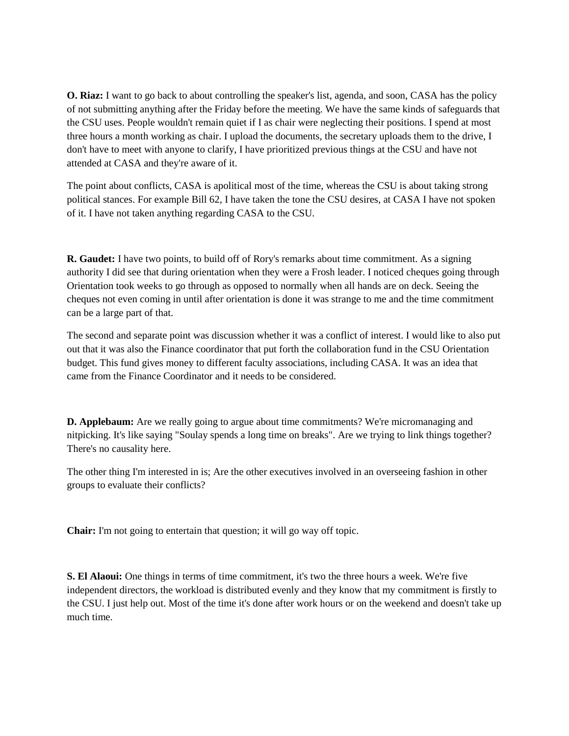**O. Riaz:** I want to go back to about controlling the speaker's list, agenda, and soon, CASA has the policy of not submitting anything after the Friday before the meeting. We have the same kinds of safeguards that the CSU uses. People wouldn't remain quiet if I as chair were neglecting their positions. I spend at most three hours a month working as chair. I upload the documents, the secretary uploads them to the drive, I don't have to meet with anyone to clarify, I have prioritized previous things at the CSU and have not attended at CASA and they're aware of it.

The point about conflicts, CASA is apolitical most of the time, whereas the CSU is about taking strong political stances. For example Bill 62, I have taken the tone the CSU desires, at CASA I have not spoken of it. I have not taken anything regarding CASA to the CSU.

**R. Gaudet:** I have two points, to build off of Rory's remarks about time commitment. As a signing authority I did see that during orientation when they were a Frosh leader. I noticed cheques going through Orientation took weeks to go through as opposed to normally when all hands are on deck. Seeing the cheques not even coming in until after orientation is done it was strange to me and the time commitment can be a large part of that.

The second and separate point was discussion whether it was a conflict of interest. I would like to also put out that it was also the Finance coordinator that put forth the collaboration fund in the CSU Orientation budget. This fund gives money to different faculty associations, including CASA. It was an idea that came from the Finance Coordinator and it needs to be considered.

**D. Applebaum:** Are we really going to argue about time commitments? We're micromanaging and nitpicking. It's like saying "Soulay spends a long time on breaks". Are we trying to link things together? There's no causality here.

The other thing I'm interested in is; Are the other executives involved in an overseeing fashion in other groups to evaluate their conflicts?

**Chair:** I'm not going to entertain that question; it will go way off topic.

**S. El Alaoui:** One things in terms of time commitment, it's two the three hours a week. We're five independent directors, the workload is distributed evenly and they know that my commitment is firstly to the CSU. I just help out. Most of the time it's done after work hours or on the weekend and doesn't take up much time.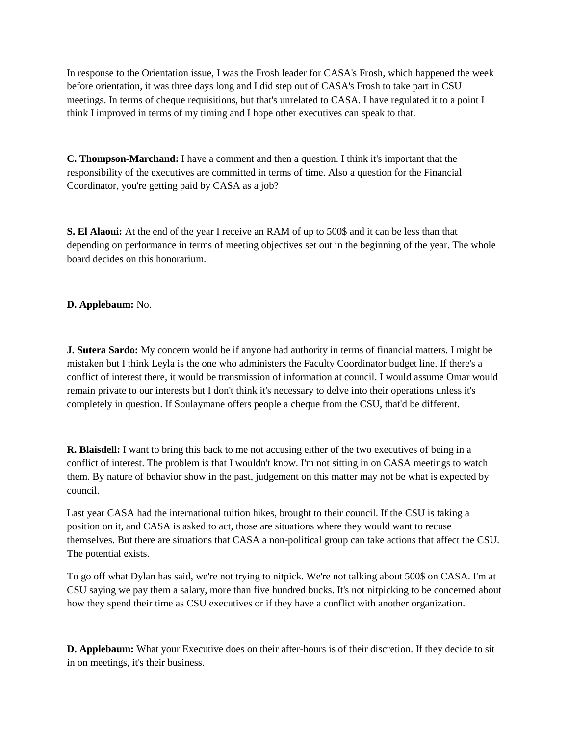In response to the Orientation issue, I was the Frosh leader for CASA's Frosh, which happened the week before orientation, it was three days long and I did step out of CASA's Frosh to take part in CSU meetings. In terms of cheque requisitions, but that's unrelated to CASA. I have regulated it to a point I think I improved in terms of my timing and I hope other executives can speak to that.

**C. Thompson-Marchand:** I have a comment and then a question. I think it's important that the responsibility of the executives are committed in terms of time. Also a question for the Financial Coordinator, you're getting paid by CASA as a job?

**S. El Alaoui:** At the end of the year I receive an RAM of up to 500\$ and it can be less than that depending on performance in terms of meeting objectives set out in the beginning of the year. The whole board decides on this honorarium.

# **D. Applebaum:** No.

**J. Sutera Sardo:** My concern would be if anyone had authority in terms of financial matters. I might be mistaken but I think Leyla is the one who administers the Faculty Coordinator budget line. If there's a conflict of interest there, it would be transmission of information at council. I would assume Omar would remain private to our interests but I don't think it's necessary to delve into their operations unless it's completely in question. If Soulaymane offers people a cheque from the CSU, that'd be different.

**R. Blaisdell:** I want to bring this back to me not accusing either of the two executives of being in a conflict of interest. The problem is that I wouldn't know. I'm not sitting in on CASA meetings to watch them. By nature of behavior show in the past, judgement on this matter may not be what is expected by council.

Last year CASA had the international tuition hikes, brought to their council. If the CSU is taking a position on it, and CASA is asked to act, those are situations where they would want to recuse themselves. But there are situations that CASA a non-political group can take actions that affect the CSU. The potential exists.

To go off what Dylan has said, we're not trying to nitpick. We're not talking about 500\$ on CASA. I'm at CSU saying we pay them a salary, more than five hundred bucks. It's not nitpicking to be concerned about how they spend their time as CSU executives or if they have a conflict with another organization.

**D. Applebaum:** What your Executive does on their after-hours is of their discretion. If they decide to sit in on meetings, it's their business.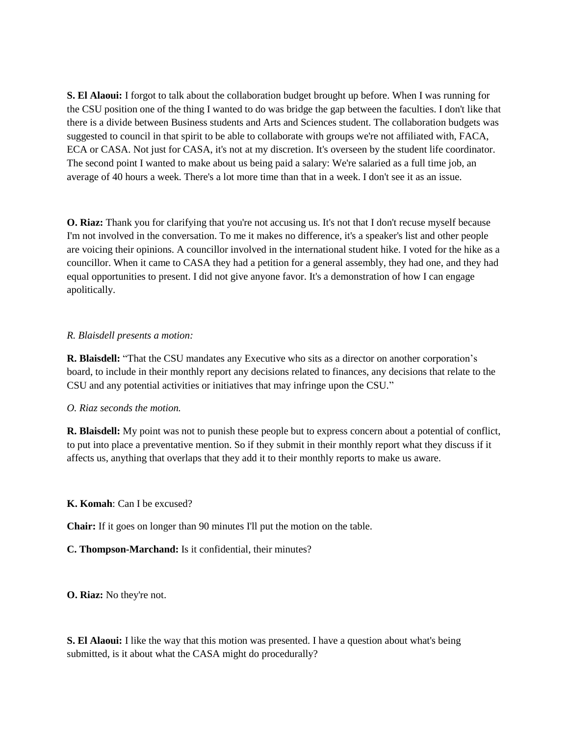**S. El Alaoui:** I forgot to talk about the collaboration budget brought up before. When I was running for the CSU position one of the thing I wanted to do was bridge the gap between the faculties. I don't like that there is a divide between Business students and Arts and Sciences student. The collaboration budgets was suggested to council in that spirit to be able to collaborate with groups we're not affiliated with, FACA, ECA or CASA. Not just for CASA, it's not at my discretion. It's overseen by the student life coordinator. The second point I wanted to make about us being paid a salary: We're salaried as a full time job, an average of 40 hours a week. There's a lot more time than that in a week. I don't see it as an issue.

**O. Riaz:** Thank you for clarifying that you're not accusing us. It's not that I don't recuse myself because I'm not involved in the conversation. To me it makes no difference, it's a speaker's list and other people are voicing their opinions. A councillor involved in the international student hike. I voted for the hike as a councillor. When it came to CASA they had a petition for a general assembly, they had one, and they had equal opportunities to present. I did not give anyone favor. It's a demonstration of how I can engage apolitically.

#### *R. Blaisdell presents a motion:*

**R. Blaisdell:** "That the CSU mandates any Executive who sits as a director on another corporation's board, to include in their monthly report any decisions related to finances, any decisions that relate to the CSU and any potential activities or initiatives that may infringe upon the CSU."

# *O. Riaz seconds the motion.*

**R. Blaisdell:** My point was not to punish these people but to express concern about a potential of conflict, to put into place a preventative mention. So if they submit in their monthly report what they discuss if it affects us, anything that overlaps that they add it to their monthly reports to make us aware.

# **K. Komah**: Can I be excused?

**Chair:** If it goes on longer than 90 minutes I'll put the motion on the table.

# **C. Thompson-Marchand:** Is it confidential, their minutes?

**O. Riaz:** No they're not.

**S. El Alaoui:** I like the way that this motion was presented. I have a question about what's being submitted, is it about what the CASA might do procedurally?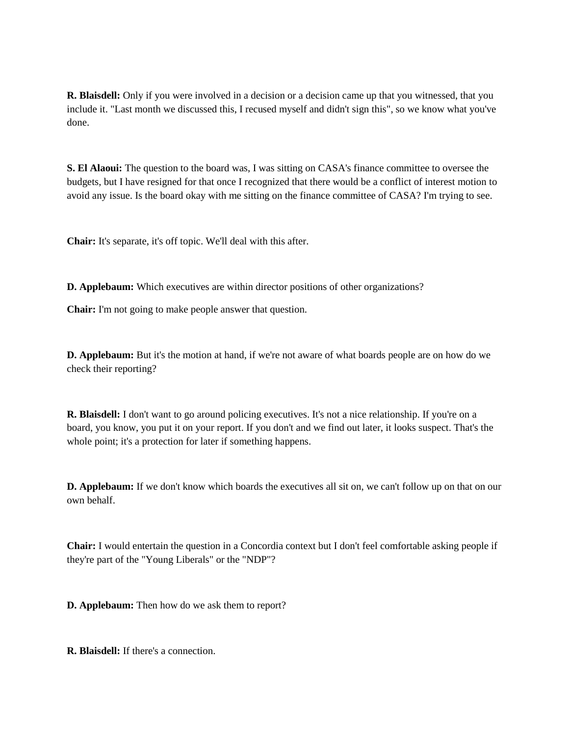**R. Blaisdell:** Only if you were involved in a decision or a decision came up that you witnessed, that you include it. "Last month we discussed this, I recused myself and didn't sign this", so we know what you've done.

**S. El Alaoui:** The question to the board was, I was sitting on CASA's finance committee to oversee the budgets, but I have resigned for that once I recognized that there would be a conflict of interest motion to avoid any issue. Is the board okay with me sitting on the finance committee of CASA? I'm trying to see.

**Chair:** It's separate, it's off topic. We'll deal with this after.

**D. Applebaum:** Which executives are within director positions of other organizations?

**Chair:** I'm not going to make people answer that question.

**D. Applebaum:** But it's the motion at hand, if we're not aware of what boards people are on how do we check their reporting?

**R. Blaisdell:** I don't want to go around policing executives. It's not a nice relationship. If you're on a board, you know, you put it on your report. If you don't and we find out later, it looks suspect. That's the whole point; it's a protection for later if something happens.

**D. Applebaum:** If we don't know which boards the executives all sit on, we can't follow up on that on our own behalf.

**Chair:** I would entertain the question in a Concordia context but I don't feel comfortable asking people if they're part of the "Young Liberals" or the "NDP"?

**D. Applebaum:** Then how do we ask them to report?

**R. Blaisdell:** If there's a connection.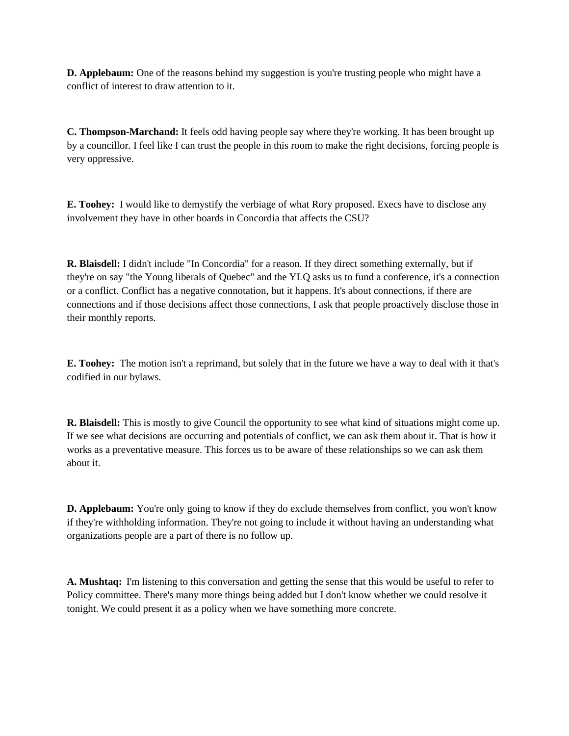**D. Applebaum:** One of the reasons behind my suggestion is you're trusting people who might have a conflict of interest to draw attention to it.

**C. Thompson-Marchand:** It feels odd having people say where they're working. It has been brought up by a councillor. I feel like I can trust the people in this room to make the right decisions, forcing people is very oppressive.

**E. Toohey:** I would like to demystify the verbiage of what Rory proposed. Execs have to disclose any involvement they have in other boards in Concordia that affects the CSU?

**R. Blaisdell:** I didn't include "In Concordia" for a reason. If they direct something externally, but if they're on say "the Young liberals of Quebec" and the YLQ asks us to fund a conference, it's a connection or a conflict. Conflict has a negative connotation, but it happens. It's about connections, if there are connections and if those decisions affect those connections, I ask that people proactively disclose those in their monthly reports.

**E. Toohey:** The motion isn't a reprimand, but solely that in the future we have a way to deal with it that's codified in our bylaws.

**R. Blaisdell:** This is mostly to give Council the opportunity to see what kind of situations might come up. If we see what decisions are occurring and potentials of conflict, we can ask them about it. That is how it works as a preventative measure. This forces us to be aware of these relationships so we can ask them about it.

**D. Applebaum:** You're only going to know if they do exclude themselves from conflict, you won't know if they're withholding information. They're not going to include it without having an understanding what organizations people are a part of there is no follow up.

**A. Mushtaq:** I'm listening to this conversation and getting the sense that this would be useful to refer to Policy committee. There's many more things being added but I don't know whether we could resolve it tonight. We could present it as a policy when we have something more concrete.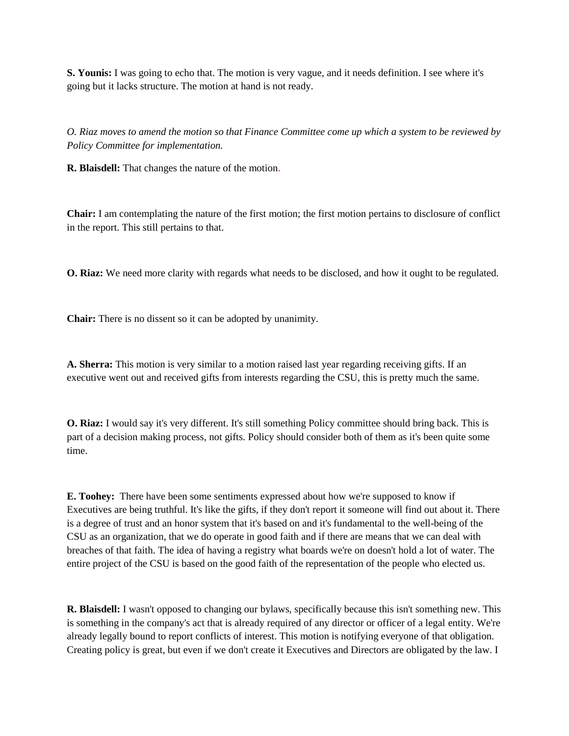**S. Younis:** I was going to echo that. The motion is very vague, and it needs definition. I see where it's going but it lacks structure. The motion at hand is not ready.

*O. Riaz moves to amend the motion so that Finance Committee come up which a system to be reviewed by Policy Committee for implementation.* 

**R. Blaisdell:** That changes the nature of the motion.

**Chair:** I am contemplating the nature of the first motion; the first motion pertains to disclosure of conflict in the report. This still pertains to that.

**O. Riaz:** We need more clarity with regards what needs to be disclosed, and how it ought to be regulated.

**Chair:** There is no dissent so it can be adopted by unanimity.

**A. Sherra:** This motion is very similar to a motion raised last year regarding receiving gifts. If an executive went out and received gifts from interests regarding the CSU, this is pretty much the same.

**O. Riaz:** I would say it's very different. It's still something Policy committee should bring back. This is part of a decision making process, not gifts. Policy should consider both of them as it's been quite some time.

**E. Toohey:** There have been some sentiments expressed about how we're supposed to know if Executives are being truthful. It's like the gifts, if they don't report it someone will find out about it. There is a degree of trust and an honor system that it's based on and it's fundamental to the well-being of the CSU as an organization, that we do operate in good faith and if there are means that we can deal with breaches of that faith. The idea of having a registry what boards we're on doesn't hold a lot of water. The entire project of the CSU is based on the good faith of the representation of the people who elected us.

**R. Blaisdell:** I wasn't opposed to changing our bylaws, specifically because this isn't something new. This is something in the company's act that is already required of any director or officer of a legal entity. We're already legally bound to report conflicts of interest. This motion is notifying everyone of that obligation. Creating policy is great, but even if we don't create it Executives and Directors are obligated by the law. I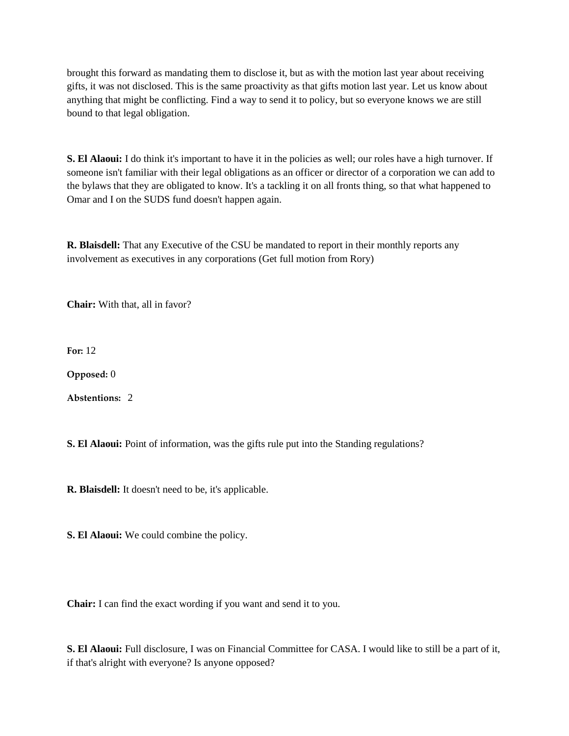brought this forward as mandating them to disclose it, but as with the motion last year about receiving gifts, it was not disclosed. This is the same proactivity as that gifts motion last year. Let us know about anything that might be conflicting. Find a way to send it to policy, but so everyone knows we are still bound to that legal obligation.

**S. El Alaoui:** I do think it's important to have it in the policies as well; our roles have a high turnover. If someone isn't familiar with their legal obligations as an officer or director of a corporation we can add to the bylaws that they are obligated to know. It's a tackling it on all fronts thing, so that what happened to Omar and I on the SUDS fund doesn't happen again.

**R. Blaisdell:** That any Executive of the CSU be mandated to report in their monthly reports any involvement as executives in any corporations (Get full motion from Rory)

**Chair:** With that, all in favor?

**For:** 12

**Opposed:** 0

**Abstentions:** 2

**S. El Alaoui:** Point of information, was the gifts rule put into the Standing regulations?

**R. Blaisdell:** It doesn't need to be, it's applicable.

**S. El Alaoui:** We could combine the policy.

**Chair:** I can find the exact wording if you want and send it to you.

**S. El Alaoui:** Full disclosure, I was on Financial Committee for CASA. I would like to still be a part of it, if that's alright with everyone? Is anyone opposed?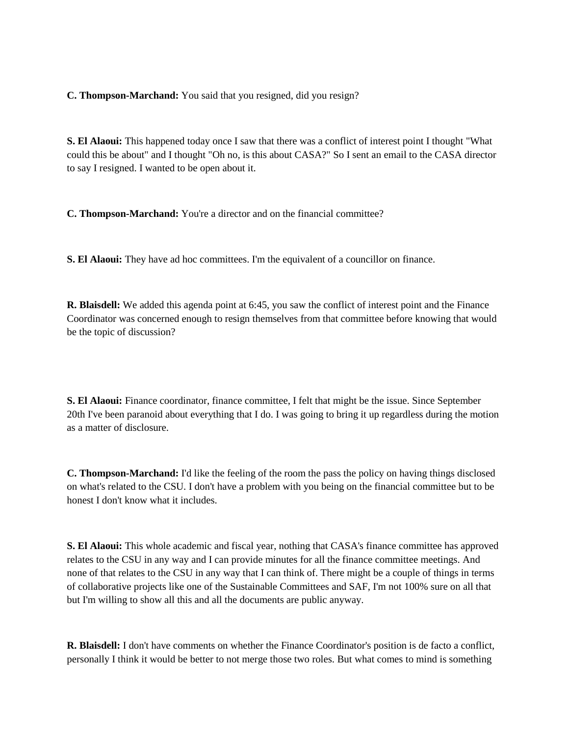**C. Thompson-Marchand:** You said that you resigned, did you resign?

**S. El Alaoui:** This happened today once I saw that there was a conflict of interest point I thought "What could this be about" and I thought "Oh no, is this about CASA?" So I sent an email to the CASA director to say I resigned. I wanted to be open about it.

**C. Thompson-Marchand:** You're a director and on the financial committee?

**S. El Alaoui:** They have ad hoc committees. I'm the equivalent of a councillor on finance.

**R. Blaisdell:** We added this agenda point at 6:45, you saw the conflict of interest point and the Finance Coordinator was concerned enough to resign themselves from that committee before knowing that would be the topic of discussion?

**S. El Alaoui:** Finance coordinator, finance committee, I felt that might be the issue. Since September 20th I've been paranoid about everything that I do. I was going to bring it up regardless during the motion as a matter of disclosure.

**C. Thompson-Marchand:** I'd like the feeling of the room the pass the policy on having things disclosed on what's related to the CSU. I don't have a problem with you being on the financial committee but to be honest I don't know what it includes.

**S. El Alaoui:** This whole academic and fiscal year, nothing that CASA's finance committee has approved relates to the CSU in any way and I can provide minutes for all the finance committee meetings. And none of that relates to the CSU in any way that I can think of. There might be a couple of things in terms of collaborative projects like one of the Sustainable Committees and SAF, I'm not 100% sure on all that but I'm willing to show all this and all the documents are public anyway.

**R. Blaisdell:** I don't have comments on whether the Finance Coordinator's position is de facto a conflict, personally I think it would be better to not merge those two roles. But what comes to mind is something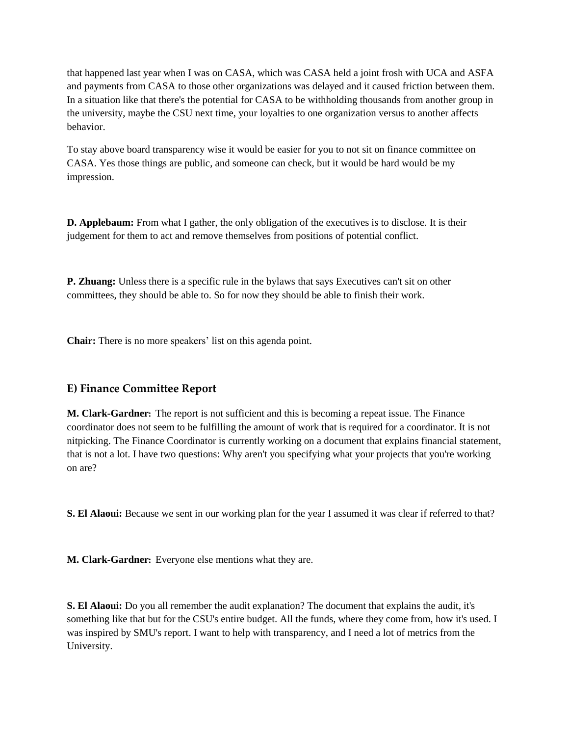that happened last year when I was on CASA, which was CASA held a joint frosh with UCA and ASFA and payments from CASA to those other organizations was delayed and it caused friction between them. In a situation like that there's the potential for CASA to be withholding thousands from another group in the university, maybe the CSU next time, your loyalties to one organization versus to another affects behavior.

To stay above board transparency wise it would be easier for you to not sit on finance committee on CASA. Yes those things are public, and someone can check, but it would be hard would be my impression.

**D. Applebaum:** From what I gather, the only obligation of the executives is to disclose. It is their judgement for them to act and remove themselves from positions of potential conflict.

**P. Zhuang:** Unless there is a specific rule in the bylaws that says Executives can't sit on other committees, they should be able to. So for now they should be able to finish their work.

**Chair:** There is no more speakers' list on this agenda point.

# **E) Finance Committee Report**

**M. Clark-Gardner:** The report is not sufficient and this is becoming a repeat issue. The Finance coordinator does not seem to be fulfilling the amount of work that is required for a coordinator. It is not nitpicking. The Finance Coordinator is currently working on a document that explains financial statement, that is not a lot. I have two questions: Why aren't you specifying what your projects that you're working on are?

**S. El Alaoui:** Because we sent in our working plan for the year I assumed it was clear if referred to that?

**M. Clark-Gardner:** Everyone else mentions what they are.

**S. El Alaoui:** Do you all remember the audit explanation? The document that explains the audit, it's something like that but for the CSU's entire budget. All the funds, where they come from, how it's used. I was inspired by SMU's report. I want to help with transparency, and I need a lot of metrics from the University.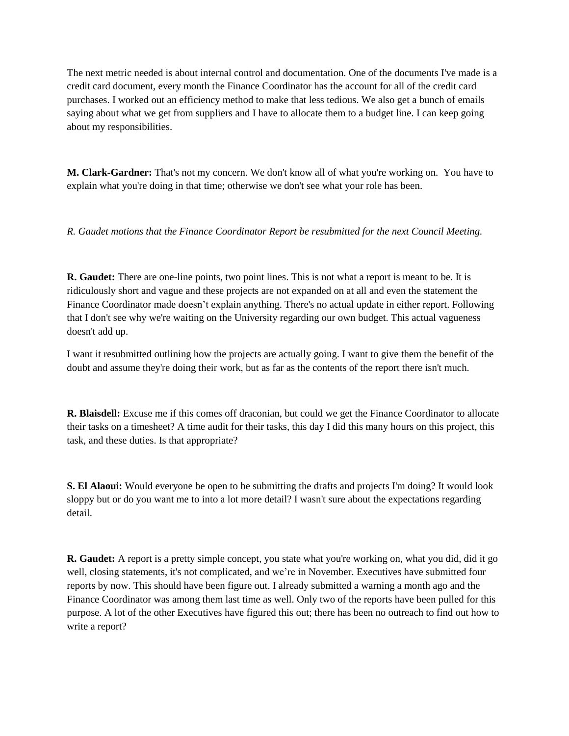The next metric needed is about internal control and documentation. One of the documents I've made is a credit card document, every month the Finance Coordinator has the account for all of the credit card purchases. I worked out an efficiency method to make that less tedious. We also get a bunch of emails saying about what we get from suppliers and I have to allocate them to a budget line. I can keep going about my responsibilities.

**M. Clark-Gardner:** That's not my concern. We don't know all of what you're working on. You have to explain what you're doing in that time; otherwise we don't see what your role has been.

*R. Gaudet motions that the Finance Coordinator Report be resubmitted for the next Council Meeting.* 

**R. Gaudet:** There are one-line points, two point lines. This is not what a report is meant to be. It is ridiculously short and vague and these projects are not expanded on at all and even the statement the Finance Coordinator made doesn't explain anything. There's no actual update in either report. Following that I don't see why we're waiting on the University regarding our own budget. This actual vagueness doesn't add up.

I want it resubmitted outlining how the projects are actually going. I want to give them the benefit of the doubt and assume they're doing their work, but as far as the contents of the report there isn't much.

**R. Blaisdell:** Excuse me if this comes off draconian, but could we get the Finance Coordinator to allocate their tasks on a timesheet? A time audit for their tasks, this day I did this many hours on this project, this task, and these duties. Is that appropriate?

**S. El Alaoui:** Would everyone be open to be submitting the drafts and projects I'm doing? It would look sloppy but or do you want me to into a lot more detail? I wasn't sure about the expectations regarding detail.

**R. Gaudet:** A report is a pretty simple concept, you state what you're working on, what you did, did it go well, closing statements, it's not complicated, and we're in November. Executives have submitted four reports by now. This should have been figure out. I already submitted a warning a month ago and the Finance Coordinator was among them last time as well. Only two of the reports have been pulled for this purpose. A lot of the other Executives have figured this out; there has been no outreach to find out how to write a report?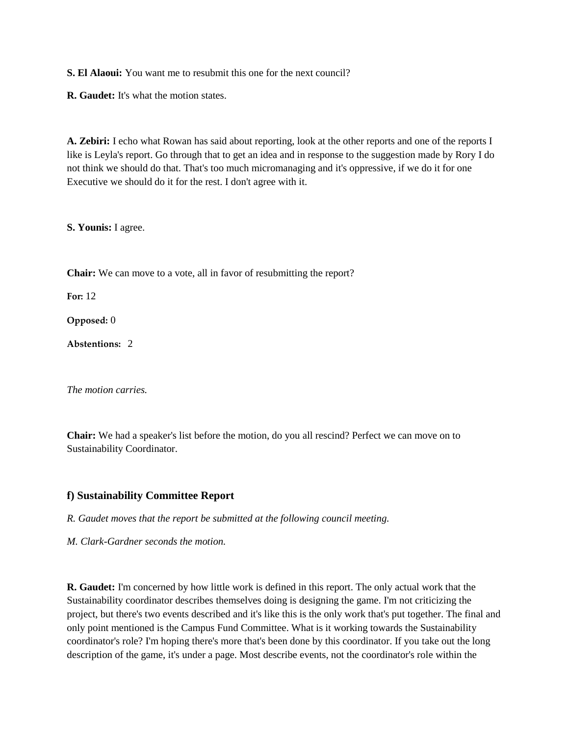**S. El Alaoui:** You want me to resubmit this one for the next council?

**R. Gaudet:** It's what the motion states.

**A. Zebiri:** I echo what Rowan has said about reporting, look at the other reports and one of the reports I like is Leyla's report. Go through that to get an idea and in response to the suggestion made by Rory I do not think we should do that. That's too much micromanaging and it's oppressive, if we do it for one Executive we should do it for the rest. I don't agree with it.

**S. Younis:** I agree.

**Chair:** We can move to a vote, all in favor of resubmitting the report?

**For:** 12

**Opposed:** 0

**Abstentions:** 2

*The motion carries.* 

**Chair:** We had a speaker's list before the motion, do you all rescind? Perfect we can move on to Sustainability Coordinator.

#### **f) Sustainability Committee Report**

*R. Gaudet moves that the report be submitted at the following council meeting.*

*M. Clark-Gardner seconds the motion.*

**R. Gaudet:** I'm concerned by how little work is defined in this report. The only actual work that the Sustainability coordinator describes themselves doing is designing the game. I'm not criticizing the project, but there's two events described and it's like this is the only work that's put together. The final and only point mentioned is the Campus Fund Committee. What is it working towards the Sustainability coordinator's role? I'm hoping there's more that's been done by this coordinator. If you take out the long description of the game, it's under a page. Most describe events, not the coordinator's role within the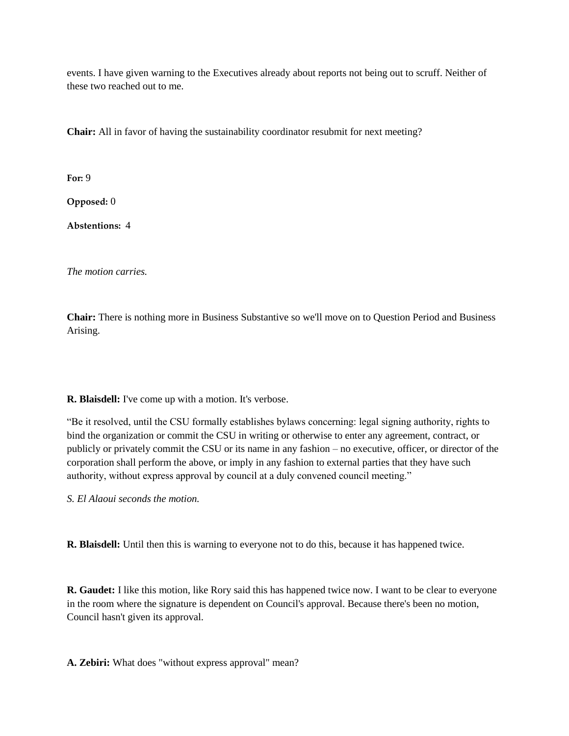events. I have given warning to the Executives already about reports not being out to scruff. Neither of these two reached out to me.

**Chair:** All in favor of having the sustainability coordinator resubmit for next meeting?

**For:** 9

**Opposed:** 0

**Abstentions:** 4

*The motion carries.*

**Chair:** There is nothing more in Business Substantive so we'll move on to Question Period and Business Arising.

**R. Blaisdell:** I've come up with a motion. It's verbose.

"Be it resolved, until the CSU formally establishes bylaws concerning: legal signing authority, rights to bind the organization or commit the CSU in writing or otherwise to enter any agreement, contract, or publicly or privately commit the CSU or its name in any fashion – no executive, officer, or director of the corporation shall perform the above, or imply in any fashion to external parties that they have such authority, without express approval by council at a duly convened council meeting."

*S. El Alaoui seconds the motion.*

**R. Blaisdell:** Until then this is warning to everyone not to do this, because it has happened twice.

**R. Gaudet:** I like this motion, like Rory said this has happened twice now. I want to be clear to everyone in the room where the signature is dependent on Council's approval. Because there's been no motion, Council hasn't given its approval.

**A. Zebiri:** What does "without express approval" mean?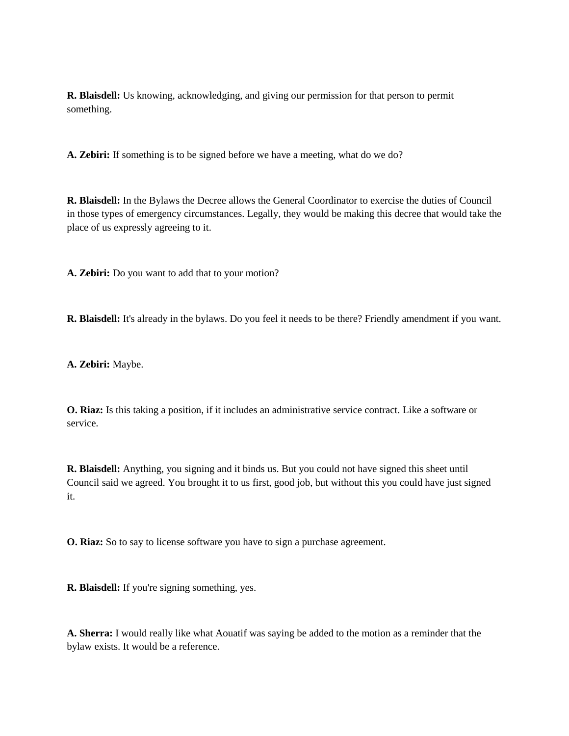**R. Blaisdell:** Us knowing, acknowledging, and giving our permission for that person to permit something.

**A. Zebiri:** If something is to be signed before we have a meeting, what do we do?

**R. Blaisdell:** In the Bylaws the Decree allows the General Coordinator to exercise the duties of Council in those types of emergency circumstances. Legally, they would be making this decree that would take the place of us expressly agreeing to it.

**A. Zebiri:** Do you want to add that to your motion?

**R. Blaisdell:** It's already in the bylaws. Do you feel it needs to be there? Friendly amendment if you want.

**A. Zebiri:** Maybe.

**O. Riaz:** Is this taking a position, if it includes an administrative service contract. Like a software or service.

**R. Blaisdell:** Anything, you signing and it binds us. But you could not have signed this sheet until Council said we agreed. You brought it to us first, good job, but without this you could have just signed it.

**O. Riaz:** So to say to license software you have to sign a purchase agreement.

**R. Blaisdell:** If you're signing something, yes.

**A. Sherra:** I would really like what Aouatif was saying be added to the motion as a reminder that the bylaw exists. It would be a reference.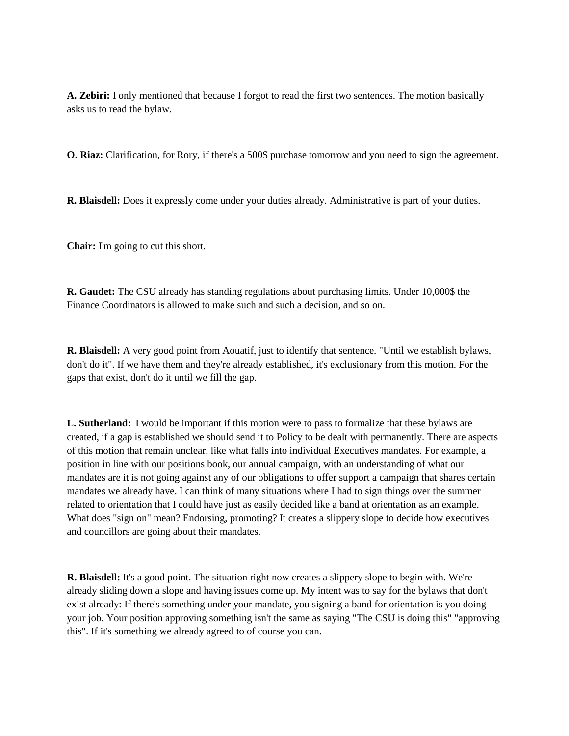**A. Zebiri:** I only mentioned that because I forgot to read the first two sentences. The motion basically asks us to read the bylaw.

**O. Riaz:** Clarification, for Rory, if there's a 500\$ purchase tomorrow and you need to sign the agreement.

**R. Blaisdell:** Does it expressly come under your duties already. Administrative is part of your duties.

**Chair:** I'm going to cut this short.

**R. Gaudet:** The CSU already has standing regulations about purchasing limits. Under 10,000\$ the Finance Coordinators is allowed to make such and such a decision, and so on.

**R. Blaisdell:** A very good point from Aouatif, just to identify that sentence. "Until we establish bylaws, don't do it". If we have them and they're already established, it's exclusionary from this motion. For the gaps that exist, don't do it until we fill the gap.

**L. Sutherland:** I would be important if this motion were to pass to formalize that these bylaws are created, if a gap is established we should send it to Policy to be dealt with permanently. There are aspects of this motion that remain unclear, like what falls into individual Executives mandates. For example, a position in line with our positions book, our annual campaign, with an understanding of what our mandates are it is not going against any of our obligations to offer support a campaign that shares certain mandates we already have. I can think of many situations where I had to sign things over the summer related to orientation that I could have just as easily decided like a band at orientation as an example. What does "sign on" mean? Endorsing, promoting? It creates a slippery slope to decide how executives and councillors are going about their mandates.

**R. Blaisdell:** It's a good point. The situation right now creates a slippery slope to begin with. We're already sliding down a slope and having issues come up. My intent was to say for the bylaws that don't exist already: If there's something under your mandate, you signing a band for orientation is you doing your job. Your position approving something isn't the same as saying "The CSU is doing this" "approving this". If it's something we already agreed to of course you can.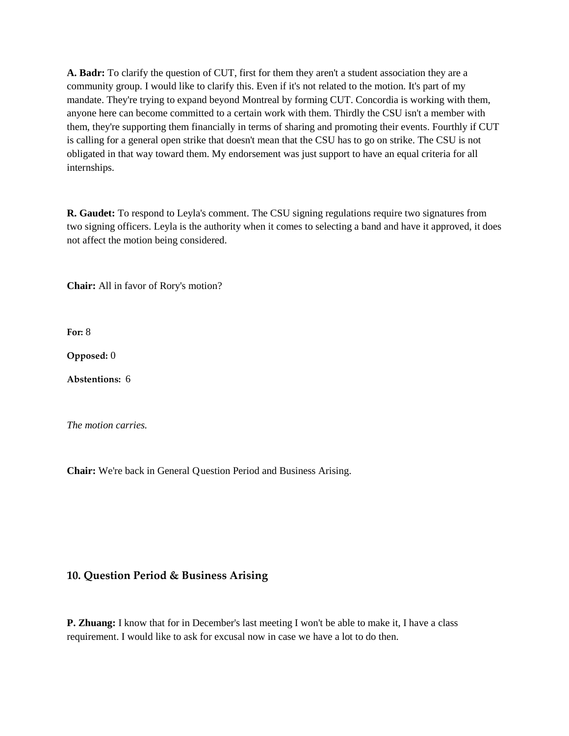**A. Badr:** To clarify the question of CUT, first for them they aren't a student association they are a community group. I would like to clarify this. Even if it's not related to the motion. It's part of my mandate. They're trying to expand beyond Montreal by forming CUT. Concordia is working with them, anyone here can become committed to a certain work with them. Thirdly the CSU isn't a member with them, they're supporting them financially in terms of sharing and promoting their events. Fourthly if CUT is calling for a general open strike that doesn't mean that the CSU has to go on strike. The CSU is not obligated in that way toward them. My endorsement was just support to have an equal criteria for all internships.

**R. Gaudet:** To respond to Leyla's comment. The CSU signing regulations require two signatures from two signing officers. Leyla is the authority when it comes to selecting a band and have it approved, it does not affect the motion being considered.

**Chair:** All in favor of Rory's motion?

**For:** 8

**Opposed:** 0

**Abstentions:** 6

*The motion carries.* 

**Chair:** We're back in General Question Period and Business Arising.

# **10. Question Period & Business Arising**

**P. Zhuang:** I know that for in December's last meeting I won't be able to make it, I have a class requirement. I would like to ask for excusal now in case we have a lot to do then.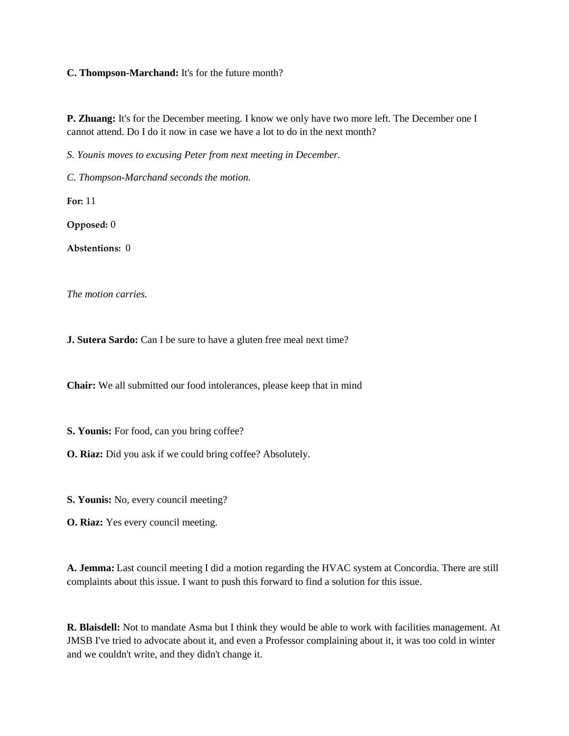#### **C. Thompson-Marchand:** It's for the future month?

**P. Zhuang:** It's for the December meeting. I know we only have two more left. The December one I cannot attend. Do I do it now in case we have a lot to do in the next month?

*S. Younis moves to excusing Peter from next meeting in December.* 

*C. Thompson-Marchand seconds the motion.*

**For:** 11

**Opposed:** 0

**Abstentions:** 0

*The motion carries.* 

**J. Sutera Sardo:** Can I be sure to have a gluten free meal next time?

**Chair:** We all submitted our food intolerances, please keep that in mind

**S. Younis:** For food, can you bring coffee?

**O. Riaz:** Did you ask if we could bring coffee? Absolutely.

**S. Younis:** No, every council meeting?

**O. Riaz:** Yes every council meeting.

**A. Jemma:** Last council meeting I did a motion regarding the HVAC system at Concordia. There are still complaints about this issue. I want to push this forward to find a solution for this issue.

**R. Blaisdell:** Not to mandate Asma but I think they would be able to work with facilities management. At JMSB I've tried to advocate about it, and even a Professor complaining about it, it was too cold in winter and we couldn't write, and they didn't change it.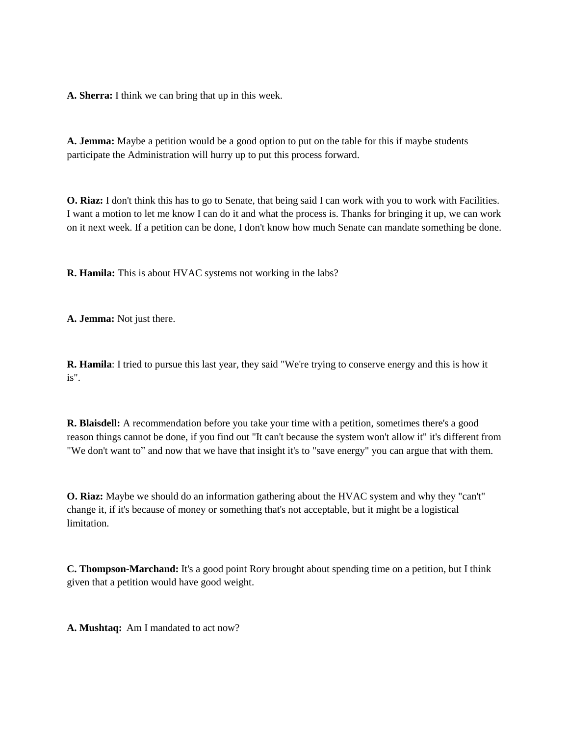**A. Sherra:** I think we can bring that up in this week.

**A. Jemma:** Maybe a petition would be a good option to put on the table for this if maybe students participate the Administration will hurry up to put this process forward.

**O. Riaz:** I don't think this has to go to Senate, that being said I can work with you to work with Facilities. I want a motion to let me know I can do it and what the process is. Thanks for bringing it up, we can work on it next week. If a petition can be done, I don't know how much Senate can mandate something be done.

**R. Hamila:** This is about HVAC systems not working in the labs?

**A. Jemma:** Not just there.

**R. Hamila**: I tried to pursue this last year, they said "We're trying to conserve energy and this is how it is".

**R. Blaisdell:** A recommendation before you take your time with a petition, sometimes there's a good reason things cannot be done, if you find out "It can't because the system won't allow it" it's different from "We don't want to" and now that we have that insight it's to "save energy" you can argue that with them.

**O. Riaz:** Maybe we should do an information gathering about the HVAC system and why they "can't" change it, if it's because of money or something that's not acceptable, but it might be a logistical limitation.

**C. Thompson-Marchand:** It's a good point Rory brought about spending time on a petition, but I think given that a petition would have good weight.

**A. Mushtaq:** Am I mandated to act now?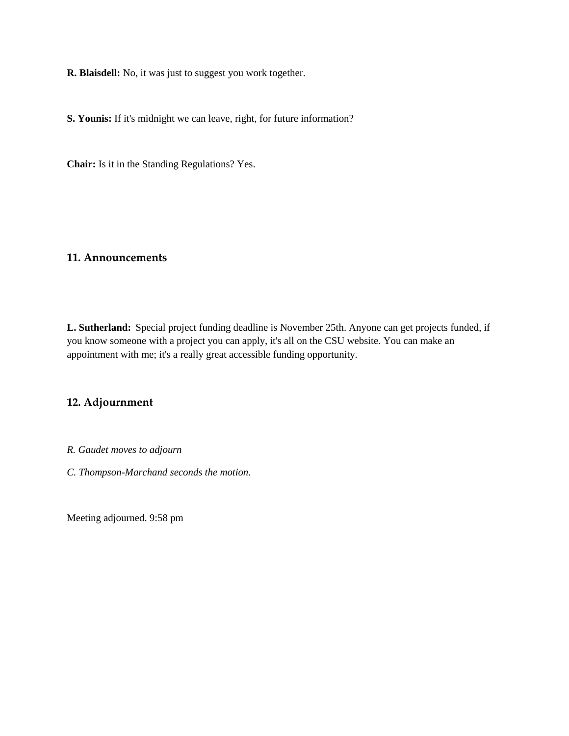**R. Blaisdell:** No, it was just to suggest you work together.

**S. Younis:** If it's midnight we can leave, right, for future information?

**Chair:** Is it in the Standing Regulations? Yes.

#### **11. Announcements**

**L. Sutherland:** Special project funding deadline is November 25th. Anyone can get projects funded, if you know someone with a project you can apply, it's all on the CSU website. You can make an appointment with me; it's a really great accessible funding opportunity.

# **12. Adjournment**

*R. Gaudet moves to adjourn*

*C. Thompson-Marchand seconds the motion.*

Meeting adjourned. 9:58 pm